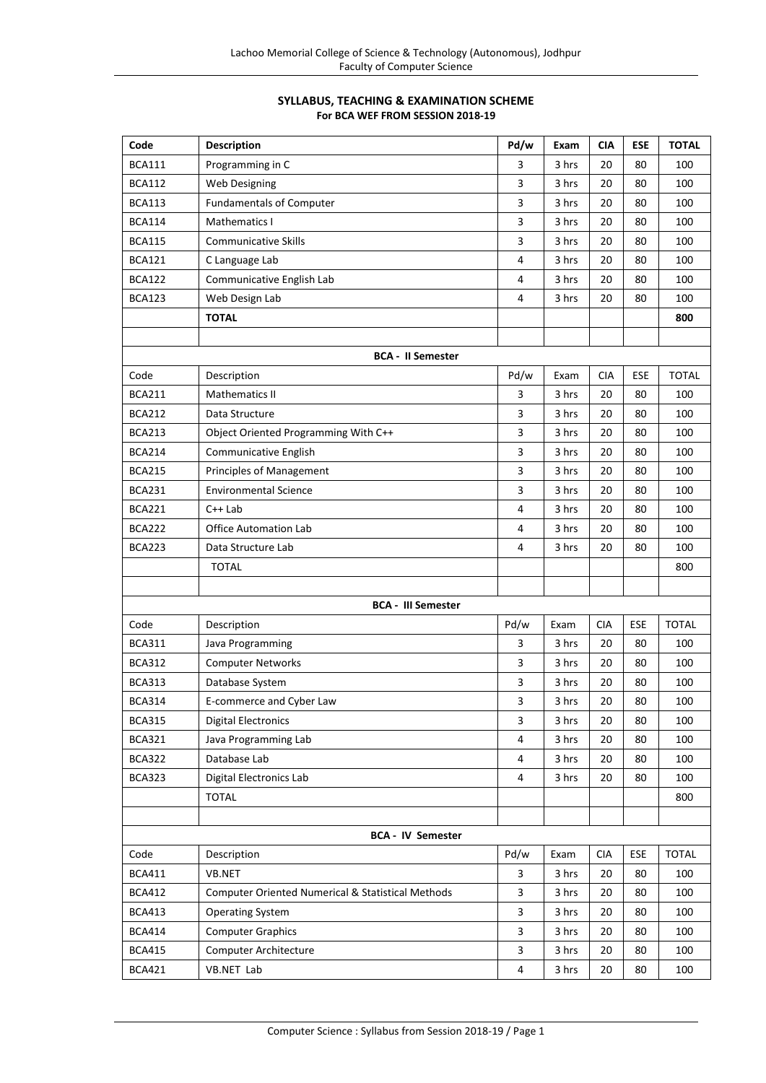# **SYLLABUS, TEACHING & EXAMINATION SCHEME For BCA WEF FROM SESSION 2018-19**

| Code                     | <b>Description</b>                                           | Pd/w           | Exam  | <b>CIA</b> | <b>ESE</b> | <b>TOTAL</b> |
|--------------------------|--------------------------------------------------------------|----------------|-------|------------|------------|--------------|
| <b>BCA111</b>            | Programming in C                                             | 3              | 3 hrs | 20         | 80         | 100          |
| <b>BCA112</b>            | Web Designing                                                | 3              | 3 hrs | 20         | 80         | 100          |
| <b>BCA113</b>            | <b>Fundamentals of Computer</b>                              | $\overline{3}$ | 3 hrs | 20         | 80         | 100          |
| <b>BCA114</b>            | Mathematics I                                                | 3              | 3 hrs | 20         | 80         | 100          |
| <b>BCA115</b>            | <b>Communicative Skills</b>                                  | 3              | 3 hrs | 20         | 80         | 100          |
| <b>BCA121</b>            | C Language Lab                                               | $\overline{4}$ | 3 hrs | 20         | 80         | 100          |
| <b>BCA122</b>            | Communicative English Lab                                    | 4              | 3 hrs | 20         | 80         | 100          |
| <b>BCA123</b>            | Web Design Lab                                               | 4              | 3 hrs | 20         | 80         | 100          |
|                          | <b>TOTAL</b>                                                 |                |       |            |            | 800          |
|                          |                                                              |                |       |            |            |              |
|                          | <b>BCA - II Semester</b>                                     |                |       |            |            |              |
| Code                     | Description                                                  | Pd/w           | Exam  | <b>CIA</b> | ESE        | <b>TOTAL</b> |
| <b>BCA211</b>            | <b>Mathematics II</b>                                        | 3              | 3 hrs | 20         | 80         | 100          |
| <b>BCA212</b>            | Data Structure                                               | 3              | 3 hrs | 20         | 80         | 100          |
| <b>BCA213</b>            | Object Oriented Programming With C++                         | 3              | 3 hrs | 20         | 80         | 100          |
| <b>BCA214</b>            | Communicative English                                        | 3              | 3 hrs | 20         | 80         | 100          |
| <b>BCA215</b>            | Principles of Management                                     | 3              | 3 hrs | 20         | 80         | 100          |
| <b>BCA231</b>            | <b>Environmental Science</b>                                 | 3              | 3 hrs | 20         | 80         | 100          |
| <b>BCA221</b>            | $C++$ Lab                                                    | 4              | 3 hrs | 20         | 80         | 100          |
| <b>BCA222</b>            | <b>Office Automation Lab</b>                                 | 4              | 3 hrs | 20         | 80         | 100          |
| <b>BCA223</b>            | Data Structure Lab                                           | 4              | 3 hrs | 20         | 80         | 100          |
|                          | <b>TOTAL</b>                                                 |                |       |            |            | 800          |
|                          |                                                              |                |       |            |            |              |
|                          | <b>BCA - III Semester</b>                                    |                |       |            |            |              |
| Code                     | Description                                                  | Pd/w           | Exam  | <b>CIA</b> | ESE        | <b>TOTAL</b> |
| <b>BCA311</b>            | Java Programming                                             | 3              | 3 hrs | 20         | 80         | 100          |
| <b>BCA312</b>            | <b>Computer Networks</b>                                     | 3              | 3 hrs | 20         | 80         | 100          |
| <b>BCA313</b>            | Database System                                              | 3              | 3 hrs | 20         | 80         | 100          |
| <b>BCA314</b>            | E-commerce and Cyber Law                                     | 3              | 3 hrs | 20         | 80         | 100          |
| <b>BCA315</b>            | <b>Digital Electronics</b>                                   | 3              | 3 hrs | 20         | 80         | 100          |
| <b>BCA321</b>            | Java Programming Lab                                         | 4              | 3 hrs | 20         | 80         | 100          |
| <b>BCA322</b>            | Database Lab                                                 | 4              | 3 hrs | 20         | 80         | 100          |
| <b>BCA323</b>            | Digital Electronics Lab                                      | 4              | 3 hrs | 20         | 80         | 100          |
|                          | <b>TOTAL</b>                                                 |                |       |            |            | 800          |
|                          |                                                              |                |       |            |            |              |
| <b>BCA - IV Semester</b> |                                                              |                |       |            |            |              |
| Code                     | Description                                                  | Pd/w           | Exam  | <b>CIA</b> | ESE        | <b>TOTAL</b> |
| <b>BCA411</b>            | VB.NET                                                       | 3              | 3 hrs | 20         | 80         | 100          |
| <b>BCA412</b>            | <b>Computer Oriented Numerical &amp; Statistical Methods</b> | 3              | 3 hrs | 20         | 80         | 100          |
| <b>BCA413</b>            | <b>Operating System</b>                                      | 3              | 3 hrs | 20         | 80         | 100          |
| <b>BCA414</b>            | <b>Computer Graphics</b>                                     | 3              | 3 hrs | 20         | 80         | 100          |
| <b>BCA415</b>            | Computer Architecture                                        | 3              | 3 hrs | 20         | 80         | 100          |
| <b>BCA421</b>            | VB.NET Lab                                                   | 4              | 3 hrs | 20         | 80         | 100          |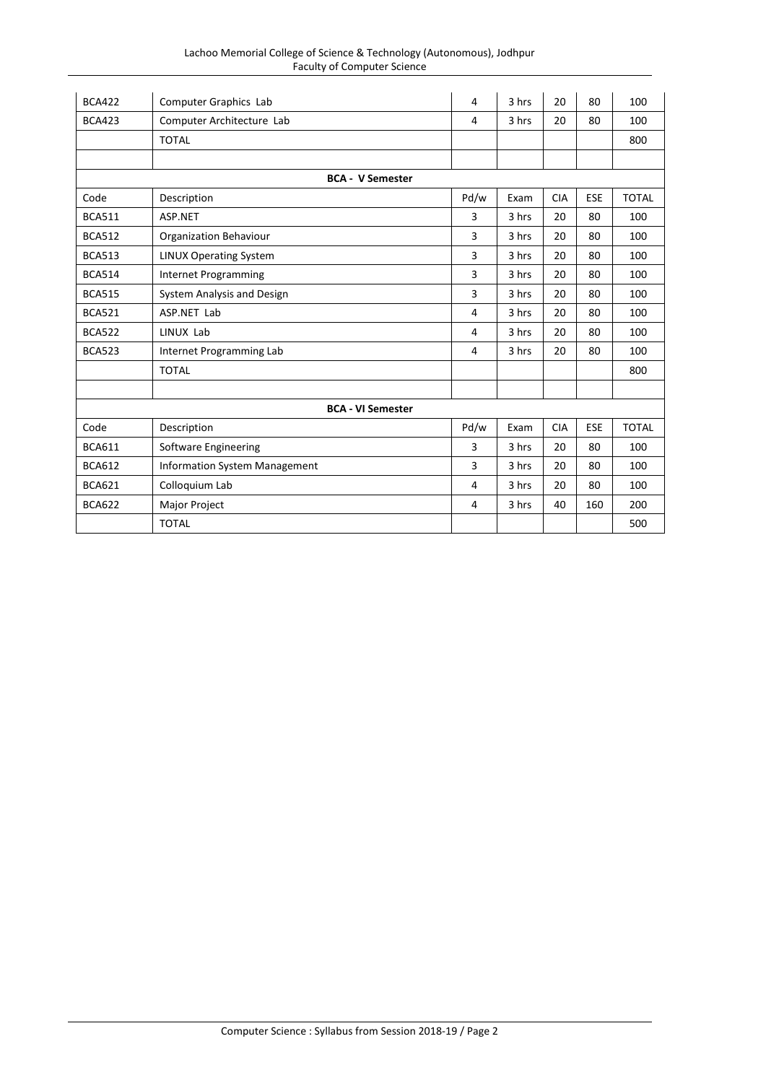| Lachoo Memorial College of Science & Technology (Autonomous), Jodhpur |
|-----------------------------------------------------------------------|
| <b>Faculty of Computer Science</b>                                    |

| <b>BCA422</b> | Computer Graphics Lab                | 4    | 3 hrs | 20         | 80         | 100          |
|---------------|--------------------------------------|------|-------|------------|------------|--------------|
| <b>BCA423</b> | Computer Architecture Lab            | 4    | 3 hrs | 20         | 80         | 100          |
|               | <b>TOTAL</b>                         |      |       |            |            | 800          |
|               |                                      |      |       |            |            |              |
|               | <b>BCA - V Semester</b>              |      |       |            |            |              |
| Code          | Description                          | Pd/w | Exam  | <b>CIA</b> | <b>ESE</b> | <b>TOTAL</b> |
| <b>BCA511</b> | ASP.NET                              | 3    | 3 hrs | 20         | 80         | 100          |
| <b>BCA512</b> | <b>Organization Behaviour</b>        | 3    | 3 hrs | 20         | 80         | 100          |
| <b>BCA513</b> | <b>LINUX Operating System</b>        | 3    | 3 hrs | 20         | 80         | 100          |
| <b>BCA514</b> | <b>Internet Programming</b>          | 3    | 3 hrs | 20         | 80         | 100          |
| <b>BCA515</b> | System Analysis and Design           | 3    | 3 hrs | 20         | 80         | 100          |
| <b>BCA521</b> | ASP.NET Lab                          | 4    | 3 hrs | 20         | 80         | 100          |
| <b>BCA522</b> | LINUX Lab                            | 4    | 3 hrs | 20         | 80         | 100          |
| <b>BCA523</b> | Internet Programming Lab             | 4    | 3 hrs | 20         | 80         | 100          |
|               | <b>TOTAL</b>                         |      |       |            |            | 800          |
|               |                                      |      |       |            |            |              |
|               | <b>BCA - VI Semester</b>             |      |       |            |            |              |
| Code          | Description                          | Pd/w | Exam  | <b>CIA</b> | <b>ESE</b> | <b>TOTAL</b> |
| <b>BCA611</b> | Software Engineering                 | 3    | 3 hrs | 20         | 80         | 100          |
| <b>BCA612</b> | <b>Information System Management</b> | 3    | 3 hrs | 20         | 80         | 100          |
| <b>BCA621</b> | Colloquium Lab                       | 4    | 3 hrs | 20         | 80         | 100          |
| <b>BCA622</b> | Major Project                        | 4    | 3 hrs | 40         | 160        | 200          |
|               | <b>TOTAL</b>                         |      |       |            |            | 500          |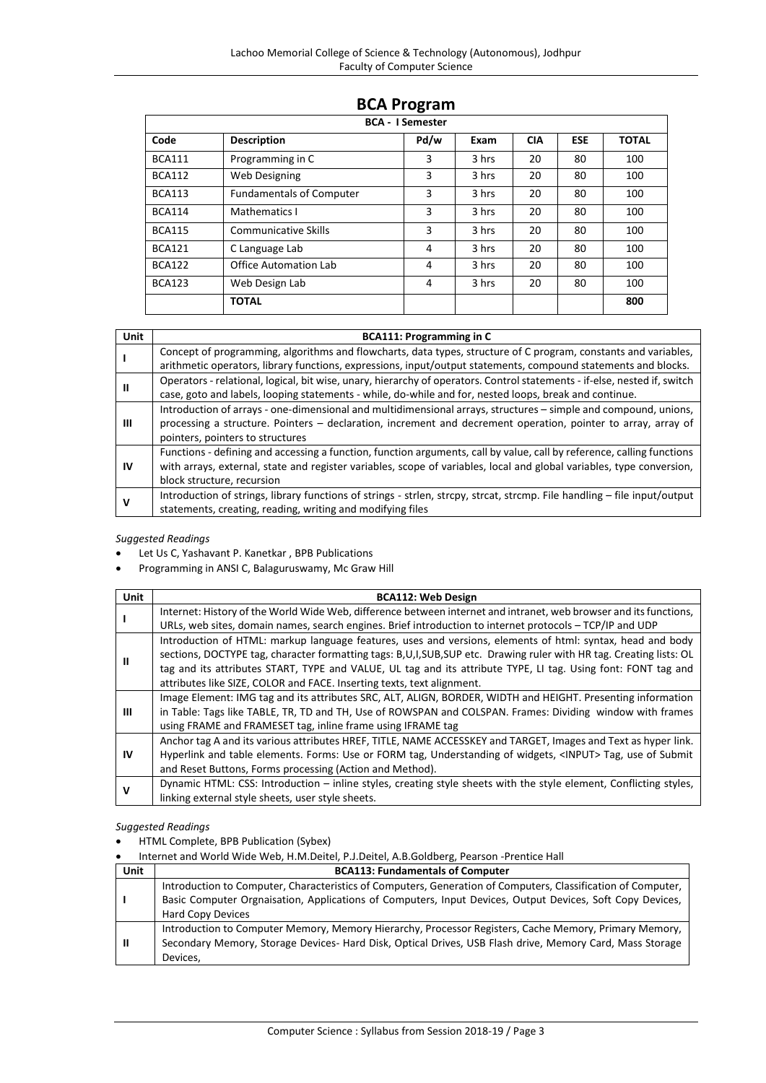| <b>BCA - I Semester</b> |                                 |      |       |            |            |              |  |
|-------------------------|---------------------------------|------|-------|------------|------------|--------------|--|
| Code                    | <b>Description</b>              | Pd/w | Exam  | <b>CIA</b> | <b>ESE</b> | <b>TOTAL</b> |  |
| <b>BCA111</b>           | Programming in C                | 3    | 3 hrs | 20         | 80         | 100          |  |
| <b>BCA112</b>           | Web Designing                   | 3    | 3 hrs | 20         | 80         | 100          |  |
| <b>BCA113</b>           | <b>Fundamentals of Computer</b> | 3    | 3 hrs | 20         | 80         | 100          |  |
| <b>BCA114</b>           | Mathematics I                   | 3    | 3 hrs | 20         | 80         | 100          |  |
| <b>BCA115</b>           | <b>Communicative Skills</b>     | 3    | 3 hrs | 20         | 80         | 100          |  |
| <b>BCA121</b>           | C Language Lab                  | 4    | 3 hrs | 20         | 80         | 100          |  |
| <b>BCA122</b>           | Office Automation Lab           | 4    | 3 hrs | 20         | 80         | 100          |  |
| <b>BCA123</b>           | Web Design Lab                  | 4    | 3 hrs | 20         | 80         | 100          |  |
|                         | <b>TOTAL</b>                    |      |       |            |            | 800          |  |

# **BCA Program**

| Unit | <b>BCA111: Programming in C</b>                                                                                           |
|------|---------------------------------------------------------------------------------------------------------------------------|
|      | Concept of programming, algorithms and flowcharts, data types, structure of C program, constants and variables,           |
|      | arithmetic operators, library functions, expressions, input/output statements, compound statements and blocks.            |
|      | Operators - relational, logical, bit wise, unary, hierarchy of operators. Control statements - if-else, nested if, switch |
| Ш    | case, goto and labels, looping statements - while, do-while and for, nested loops, break and continue.                    |
|      | Introduction of arrays - one-dimensional and multidimensional arrays, structures - simple and compound, unions,           |
| Ш    | processing a structure. Pointers – declaration, increment and decrement operation, pointer to array, array of             |
|      | pointers, pointers to structures                                                                                          |
|      | Functions - defining and accessing a function, function arguments, call by value, call by reference, calling functions    |
| IV   | with arrays, external, state and register variables, scope of variables, local and global variables, type conversion,     |
|      | block structure, recursion                                                                                                |
|      | Introduction of strings, library functions of strings - strlen, strcpy, strcat, strcmp. File handling – file input/output |
| v    | statements, creating, reading, writing and modifying files                                                                |

# *Suggested Readings*

- Let Us C, Yashavant P. Kanetkar , BPB Publications
- Programming in ANSI C, Balaguruswamy, Mc Graw Hill

| Unit | <b>BCA112: Web Design</b>                                                                                          |
|------|--------------------------------------------------------------------------------------------------------------------|
|      | Internet: History of the World Wide Web, difference between internet and intranet, web browser and its functions,  |
|      | URLs, web sites, domain names, search engines. Brief introduction to internet protocols - TCP/IP and UDP           |
|      | Introduction of HTML: markup language features, uses and versions, elements of html: syntax, head and body         |
| Ш    | sections, DOCTYPE tag, character formatting tags: B,U,I,SUB,SUP etc. Drawing ruler with HR tag. Creating lists: OL |
|      | tag and its attributes START, TYPE and VALUE, UL tag and its attribute TYPE, LI tag. Using font: FONT tag and      |
|      | attributes like SIZE, COLOR and FACE. Inserting texts, text alignment.                                             |
|      | Image Element: IMG tag and its attributes SRC, ALT, ALIGN, BORDER, WIDTH and HEIGHT. Presenting information        |
| Ш    | in Table: Tags like TABLE, TR, TD and TH, Use of ROWSPAN and COLSPAN. Frames: Dividing window with frames          |
|      | using FRAME and FRAMESET tag, inline frame using IFRAME tag                                                        |
|      | Anchor tag A and its various attributes HREF, TITLE, NAME ACCESSKEY and TARGET, Images and Text as hyper link.     |
| IV   | Hyperlink and table elements. Forms: Use or FORM tag, Understanding of widgets, <input/> Tag, use of Submit        |
|      | and Reset Buttons, Forms processing (Action and Method).                                                           |
| v    | Dynamic HTML: CSS: Introduction – inline styles, creating style sheets with the style element, Conflicting styles, |
|      | linking external style sheets, user style sheets.                                                                  |

# *Suggested Readings*

HTML Complete, BPB Publication (Sybex)

Internet and World Wide Web, H.M.Deitel, P.J.Deitel, A.B.Goldberg, Pearson -Prentice Hall

| <b>Unit</b> | <b>BCA113: Fundamentals of Computer</b>                                                                      |
|-------------|--------------------------------------------------------------------------------------------------------------|
|             | Introduction to Computer, Characteristics of Computers, Generation of Computers, Classification of Computer, |
|             | Basic Computer Orgnaisation, Applications of Computers, Input Devices, Output Devices, Soft Copy Devices,    |
|             | <b>Hard Copy Devices</b>                                                                                     |
|             | Introduction to Computer Memory, Memory Hierarchy, Processor Registers, Cache Memory, Primary Memory,        |
| H           | Secondary Memory, Storage Devices- Hard Disk, Optical Drives, USB Flash drive, Memory Card, Mass Storage     |
|             | Devices,                                                                                                     |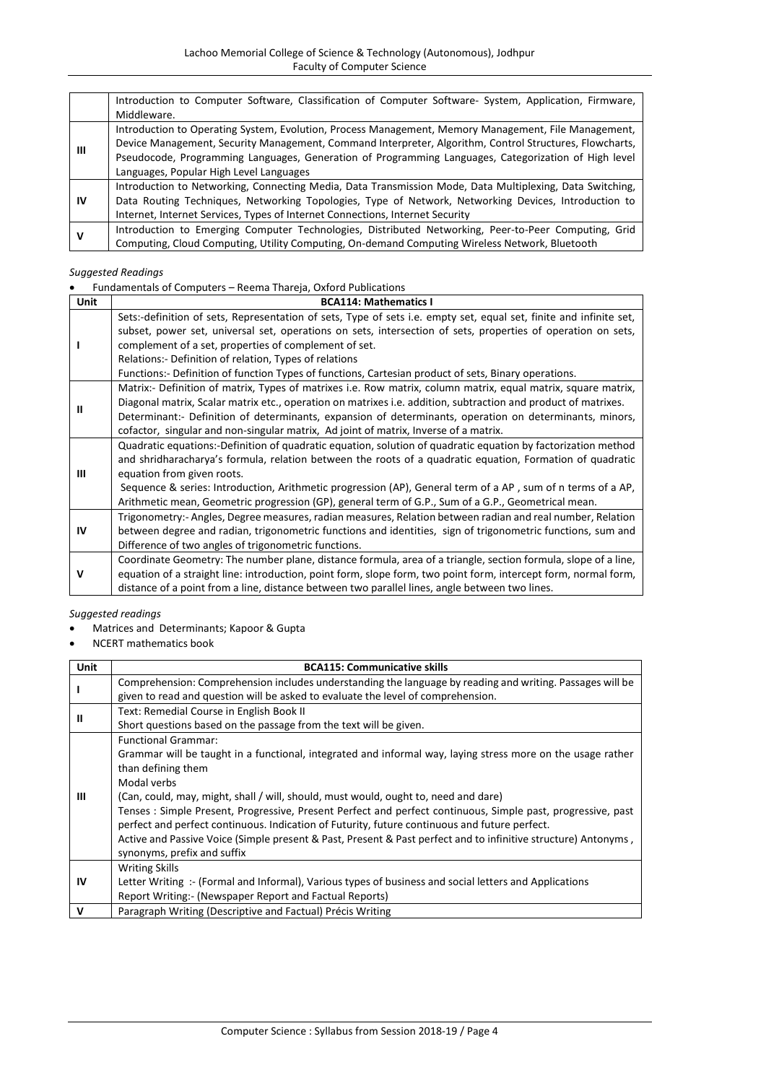|    | Introduction to Computer Software, Classification of Computer Software- System, Application, Firmware,   |
|----|----------------------------------------------------------------------------------------------------------|
|    | Middleware.                                                                                              |
|    | Introduction to Operating System, Evolution, Process Management, Memory Management, File Management,     |
|    | Device Management, Security Management, Command Interpreter, Algorithm, Control Structures, Flowcharts,  |
| Ш  | Pseudocode, Programming Languages, Generation of Programming Languages, Categorization of High level     |
|    | Languages, Popular High Level Languages                                                                  |
|    | Introduction to Networking, Connecting Media, Data Transmission Mode, Data Multiplexing, Data Switching, |
| ΙV | Data Routing Techniques, Networking Topologies, Type of Network, Networking Devices, Introduction to     |
|    | Internet, Internet Services, Types of Internet Connections, Internet Security                            |
|    | Introduction to Emerging Computer Technologies, Distributed Networking, Peer-to-Peer Computing, Grid     |
| v  | Computing, Cloud Computing, Utility Computing, On-demand Computing Wireless Network, Bluetooth           |

Fundamentals of Computers – Reema Thareja, Oxford Publications

| Unit      | <b>BCA114: Mathematics I</b>                                                                                                                                                                                                                                                                                                                                                                                                                                                   |
|-----------|--------------------------------------------------------------------------------------------------------------------------------------------------------------------------------------------------------------------------------------------------------------------------------------------------------------------------------------------------------------------------------------------------------------------------------------------------------------------------------|
|           | Sets:-definition of sets, Representation of sets, Type of sets i.e. empty set, equal set, finite and infinite set,<br>subset, power set, universal set, operations on sets, intersection of sets, properties of operation on sets,<br>complement of a set, properties of complement of set.<br>Relations: - Definition of relation, Types of relations<br>Functions:- Definition of function Types of functions, Cartesian product of sets, Binary operations.                 |
| Ш         | Matrix:- Definition of matrix, Types of matrixes i.e. Row matrix, column matrix, equal matrix, square matrix,<br>Diagonal matrix, Scalar matrix etc., operation on matrixes i.e. addition, subtraction and product of matrixes.<br>Determinant:- Definition of determinants, expansion of determinants, operation on determinants, minors,<br>cofactor, singular and non-singular matrix, Ad joint of matrix, Inverse of a matrix.                                             |
| Ш         | Quadratic equations:-Definition of quadratic equation, solution of quadratic equation by factorization method<br>and shridharacharya's formula, relation between the roots of a quadratic equation, Formation of quadratic<br>equation from given roots.<br>Sequence & series: Introduction, Arithmetic progression (AP), General term of a AP, sum of n terms of a AP,<br>Arithmetic mean, Geometric progression (GP), general term of G.P., Sum of a G.P., Geometrical mean. |
| <b>IV</b> | Trigonometry:- Angles, Degree measures, radian measures, Relation between radian and real number, Relation<br>between degree and radian, trigonometric functions and identities, sign of trigonometric functions, sum and<br>Difference of two angles of trigonometric functions.                                                                                                                                                                                              |
| v         | Coordinate Geometry: The number plane, distance formula, area of a triangle, section formula, slope of a line,<br>equation of a straight line: introduction, point form, slope form, two point form, intercept form, normal form,<br>distance of a point from a line, distance between two parallel lines, angle between two lines.                                                                                                                                            |

- Matrices and Determinants; Kapoor & Gupta
- NCERT mathematics book

| Unit | <b>BCA115: Communicative skills</b>                                                                            |
|------|----------------------------------------------------------------------------------------------------------------|
|      | Comprehension: Comprehension includes understanding the language by reading and writing. Passages will be      |
|      | given to read and question will be asked to evaluate the level of comprehension.                               |
| Ш    | Text: Remedial Course in English Book II                                                                       |
|      | Short questions based on the passage from the text will be given.                                              |
|      | <b>Functional Grammar:</b>                                                                                     |
|      | Grammar will be taught in a functional, integrated and informal way, laying stress more on the usage rather    |
|      | than defining them                                                                                             |
|      | Modal verbs                                                                                                    |
| Ш    | (Can, could, may, might, shall / will, should, must would, ought to, need and dare)                            |
|      | Tenses: Simple Present, Progressive, Present Perfect and perfect continuous, Simple past, progressive, past    |
|      | perfect and perfect continuous. Indication of Futurity, future continuous and future perfect.                  |
|      | Active and Passive Voice (Simple present & Past, Present & Past perfect and to infinitive structure) Antonyms, |
|      | synonyms, prefix and suffix                                                                                    |
|      | <b>Writing Skills</b>                                                                                          |
| 1V   | Letter Writing :- (Formal and Informal), Various types of business and social letters and Applications         |
|      | Report Writing:- (Newspaper Report and Factual Reports)                                                        |
| V    | Paragraph Writing (Descriptive and Factual) Précis Writing                                                     |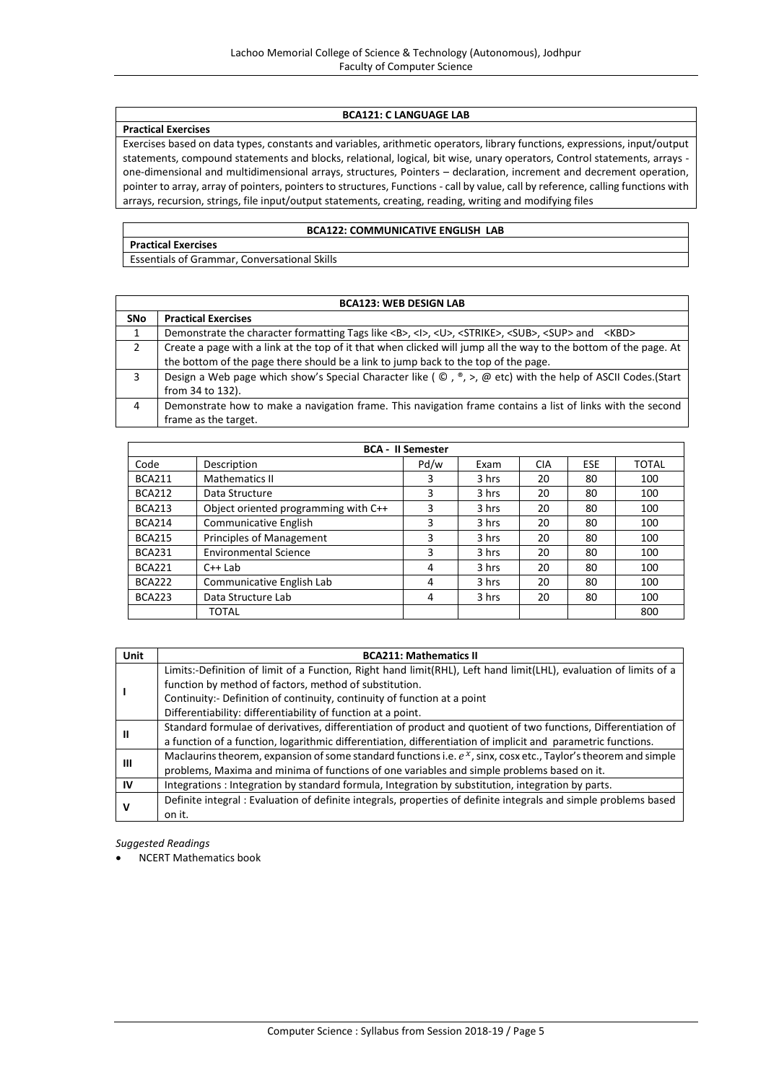# **BCA121: C LANGUAGE LAB**

#### **Practical Exercises**

Exercises based on data types, constants and variables, arithmetic operators, library functions, expressions, input/output statements, compound statements and blocks, relational, logical, bit wise, unary operators, Control statements, arrays one-dimensional and multidimensional arrays, structures, Pointers – declaration, increment and decrement operation, pointer to array, array of pointers, pointers to structures, Functions - call by value, call by reference, calling functions with arrays, recursion, strings, file input/output statements, creating, reading, writing and modifying files

# **BCA122: COMMUNICATIVE ENGLISH LAB**

**Practical Exercises** Essentials of Grammar, Conversational Skills

| <b>BCA123: WEB DESIGN LAB</b> |                                                                                                                                                |  |  |  |
|-------------------------------|------------------------------------------------------------------------------------------------------------------------------------------------|--|--|--|
| <b>SNo</b>                    | <b>Practical Exercises</b>                                                                                                                     |  |  |  |
| 1                             | Demonstrate the character formatting Tags like <b>, <l>, <u>, <strike>, <sub>, <sup> and <kbd></kbd></sup></sub></strike></u></l></b>          |  |  |  |
| 2                             | Create a page with a link at the top of it that when clicked will jump all the way to the bottom of the page. At                               |  |  |  |
|                               | the bottom of the page there should be a link to jump back to the top of the page.                                                             |  |  |  |
| 3                             | Design a Web page which show's Special Character like ( $\mathbb{O}$ , $\mathbb{P}$ , >, $\mathbb{O}$ etc) with the help of ASCII Codes.(Start |  |  |  |
|                               | from 34 to 132).                                                                                                                               |  |  |  |
| 4                             | Demonstrate how to make a navigation frame. This navigation frame contains a list of links with the second                                     |  |  |  |
|                               | frame as the target.                                                                                                                           |  |  |  |

| <b>BCA - II Semester</b> |                                      |      |       |            |            |              |  |
|--------------------------|--------------------------------------|------|-------|------------|------------|--------------|--|
| Code                     | Description                          | Pd/w | Exam  | <b>CIA</b> | <b>ESE</b> | <b>TOTAL</b> |  |
| <b>BCA211</b>            | <b>Mathematics II</b>                | 3    | 3 hrs | 20         | 80         | 100          |  |
| <b>BCA212</b>            | Data Structure                       | 3    | 3 hrs | 20         | 80         | 100          |  |
| <b>BCA213</b>            | Object oriented programming with C++ | 3    | 3 hrs | 20         | 80         | 100          |  |
| <b>BCA214</b>            | <b>Communicative English</b>         | 3    | 3 hrs | 20         | 80         | 100          |  |
| <b>BCA215</b>            | Principles of Management             | 3    | 3 hrs | 20         | 80         | 100          |  |
| <b>BCA231</b>            | <b>Environmental Science</b>         | 3    | 3 hrs | 20         | 80         | 100          |  |
| <b>BCA221</b>            | $C++$ Lab                            | 4    | 3 hrs | 20         | 80         | 100          |  |
| <b>BCA222</b>            | Communicative English Lab            | 4    | 3 hrs | 20         | 80         | 100          |  |
| <b>BCA223</b>            | Data Structure Lab                   | 4    | 3 hrs | 20         | 80         | 100          |  |
|                          | TOTAL                                |      |       |            |            | 800          |  |

| Unit | <b>BCA211: Mathematics II</b>                                                                                      |
|------|--------------------------------------------------------------------------------------------------------------------|
|      | Limits:-Definition of limit of a Function, Right hand limit(RHL), Left hand limit(LHL), evaluation of limits of a  |
|      | function by method of factors, method of substitution.                                                             |
|      | Continuity: - Definition of continuity, continuity of function at a point                                          |
|      | Differentiability: differentiability of function at a point.                                                       |
|      | Standard formulae of derivatives, differentiation of product and quotient of two functions, Differentiation of     |
| Ш    | a function of a function, logarithmic differentiation, differentiation of implicit and parametric functions.       |
|      | Maclaurins theorem, expansion of some standard functions i.e. $e^x$ , sinx, cosx etc., Taylor's theorem and simple |
| Ш    | problems, Maxima and minima of functions of one variables and simple problems based on it.                         |
| IV   | Integrations: Integration by standard formula, Integration by substitution, integration by parts.                  |
| ν    | Definite integral : Evaluation of definite integrals, properties of definite integrals and simple problems based   |
|      | on it.                                                                                                             |

*Suggested Readings*

NCERT Mathematics book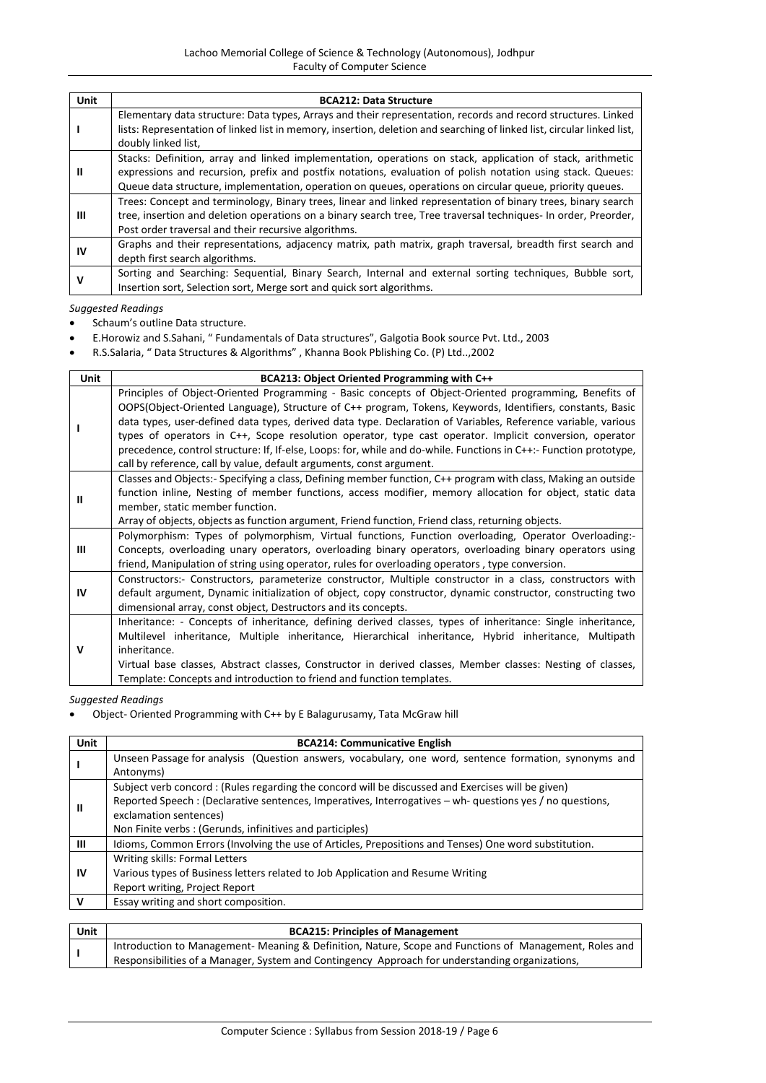| Unit | <b>BCA212: Data Structure</b>                                                                                                                                                                                                                                                                                                          |
|------|----------------------------------------------------------------------------------------------------------------------------------------------------------------------------------------------------------------------------------------------------------------------------------------------------------------------------------------|
|      | Elementary data structure: Data types, Arrays and their representation, records and record structures. Linked<br>lists: Representation of linked list in memory, insertion, deletion and searching of linked list, circular linked list,<br>doubly linked list,                                                                        |
| Ш    | Stacks: Definition, array and linked implementation, operations on stack, application of stack, arithmetic<br>expressions and recursion, prefix and postfix notations, evaluation of polish notation using stack. Queues:<br>Queue data structure, implementation, operation on queues, operations on circular queue, priority queues. |
| ш    | Trees: Concept and terminology, Binary trees, linear and linked representation of binary trees, binary search<br>tree, insertion and deletion operations on a binary search tree, Tree traversal techniques- In order, Preorder,<br>Post order traversal and their recursive algorithms.                                               |
| ΙV   | Graphs and their representations, adjacency matrix, path matrix, graph traversal, breadth first search and<br>depth first search algorithms.                                                                                                                                                                                           |
| v    | Sorting and Searching: Sequential, Binary Search, Internal and external sorting techniques, Bubble sort,<br>Insertion sort, Selection sort, Merge sort and quick sort algorithms.                                                                                                                                                      |

- Schaum's outline Data structure.
- E.Horowiz and S.Sahani, " Fundamentals of Data structures", Galgotia Book source Pvt. Ltd., 2003
- R.S.Salaria, " Data Structures & Algorithms" , Khanna Book Pblishing Co. (P) Ltd..,2002

| <b>Unit</b> | BCA213: Object Oriented Programming with C++                                                                                                                                                                                                                                                                                                                                                                                                                                                                                                                                                                                                  |  |  |  |  |  |
|-------------|-----------------------------------------------------------------------------------------------------------------------------------------------------------------------------------------------------------------------------------------------------------------------------------------------------------------------------------------------------------------------------------------------------------------------------------------------------------------------------------------------------------------------------------------------------------------------------------------------------------------------------------------------|--|--|--|--|--|
|             | Principles of Object-Oriented Programming - Basic concepts of Object-Oriented programming, Benefits of<br>OOPS(Object-Oriented Language), Structure of C++ program, Tokens, Keywords, Identifiers, constants, Basic<br>data types, user-defined data types, derived data type. Declaration of Variables, Reference variable, various<br>types of operators in C++, Scope resolution operator, type cast operator. Implicit conversion, operator<br>precedence, control structure: If, If-else, Loops: for, while and do-while. Functions in C++:- Function prototype,<br>call by reference, call by value, default arguments, const argument. |  |  |  |  |  |
| Ш           | Classes and Objects:- Specifying a class, Defining member function, C++ program with class, Making an outside<br>function inline, Nesting of member functions, access modifier, memory allocation for object, static data<br>member, static member function.<br>Array of objects, objects as function argument, Friend function, Friend class, returning objects.                                                                                                                                                                                                                                                                             |  |  |  |  |  |
| Ш           | Polymorphism: Types of polymorphism, Virtual functions, Function overloading, Operator Overloading:-<br>Concepts, overloading unary operators, overloading binary operators, overloading binary operators using<br>friend, Manipulation of string using operator, rules for overloading operators, type conversion.                                                                                                                                                                                                                                                                                                                           |  |  |  |  |  |
| IV          | Constructors:- Constructors, parameterize constructor, Multiple constructor in a class, constructors with<br>default argument, Dynamic initialization of object, copy constructor, dynamic constructor, constructing two<br>dimensional array, const object, Destructors and its concepts.                                                                                                                                                                                                                                                                                                                                                    |  |  |  |  |  |
| V           | Inheritance: - Concepts of inheritance, defining derived classes, types of inheritance: Single inheritance,<br>Multilevel inheritance, Multiple inheritance, Hierarchical inheritance, Hybrid inheritance, Multipath<br>inheritance.<br>Virtual base classes, Abstract classes, Constructor in derived classes, Member classes: Nesting of classes,<br>Template: Concepts and introduction to friend and function templates.                                                                                                                                                                                                                  |  |  |  |  |  |

*Suggested Readings*

Object- Oriented Programming with C++ by E Balagurusamy, Tata McGraw hill

| Unit      | <b>BCA214: Communicative English</b>                                                                      |
|-----------|-----------------------------------------------------------------------------------------------------------|
|           | Unseen Passage for analysis (Question answers, vocabulary, one word, sentence formation, synonyms and     |
|           | Antonyms)                                                                                                 |
|           | Subject verb concord: (Rules regarding the concord will be discussed and Exercises will be given)         |
| Ш         | Reported Speech : (Declarative sentences, Imperatives, Interrogatives – wh- questions yes / no questions, |
|           | exclamation sentences)                                                                                    |
|           | Non Finite verbs: (Gerunds, infinitives and participles)                                                  |
| ш         | Idioms, Common Errors (Involving the use of Articles, Prepositions and Tenses) One word substitution.     |
|           | Writing skills: Formal Letters                                                                            |
| <b>IV</b> | Various types of Business letters related to Job Application and Resume Writing                           |
|           | Report writing, Project Report                                                                            |
| v         | Essay writing and short composition.                                                                      |
|           |                                                                                                           |

| Unit | <b>BCA215: Principles of Management</b>                                                                |
|------|--------------------------------------------------------------------------------------------------------|
|      | Introduction to Management- Meaning & Definition, Nature, Scope and Functions of Management, Roles and |
|      | Responsibilities of a Manager, System and Contingency Approach for understanding organizations,        |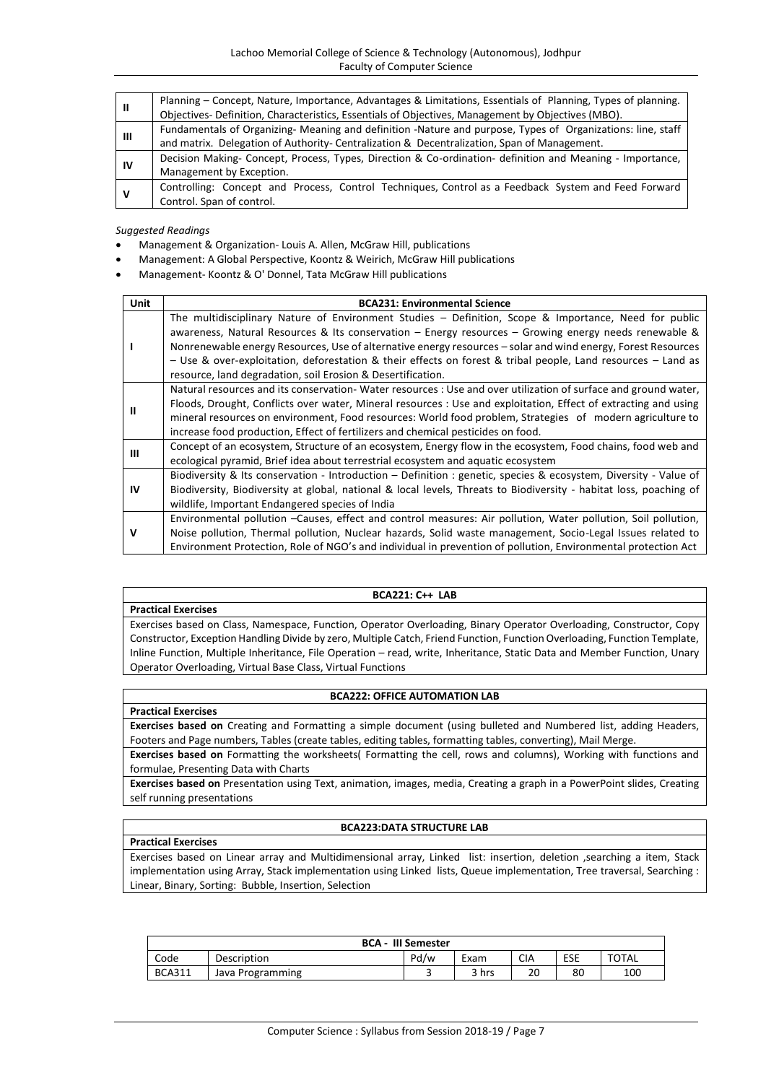| Ш  | Planning – Concept, Nature, Importance, Advantages & Limitations, Essentials of Planning, Types of planning. |  |  |  |  |
|----|--------------------------------------------------------------------------------------------------------------|--|--|--|--|
|    | Objectives- Definition, Characteristics, Essentials of Objectives, Management by Objectives (MBO).           |  |  |  |  |
| Ш  | Fundamentals of Organizing- Meaning and definition -Nature and purpose, Types of Organizations: line, staff  |  |  |  |  |
|    | and matrix. Delegation of Authority- Centralization & Decentralization, Span of Management.                  |  |  |  |  |
| ١V | Decision Making- Concept, Process, Types, Direction & Co-ordination- definition and Meaning - Importance,    |  |  |  |  |
|    | Management by Exception.                                                                                     |  |  |  |  |
| ν  | Controlling: Concept and Process, Control Techniques, Control as a Feedback System and Feed Forward          |  |  |  |  |
|    | Control. Span of control.                                                                                    |  |  |  |  |

- Management & Organization- Louis A. Allen, McGraw Hill, publications
- Management: A Global Perspective, Koontz & Weirich, McGraw Hill publications
- Management- Koontz & O' Donnel, Tata McGraw Hill publications

| Unit      | <b>BCA231: Environmental Science</b>                                                                                                                                                                                                                                                                                                                                                                                                                                                                              |
|-----------|-------------------------------------------------------------------------------------------------------------------------------------------------------------------------------------------------------------------------------------------------------------------------------------------------------------------------------------------------------------------------------------------------------------------------------------------------------------------------------------------------------------------|
|           | The multidisciplinary Nature of Environment Studies – Definition, Scope & Importance, Need for public<br>awareness, Natural Resources & Its conservation $-$ Energy resources $-$ Growing energy needs renewable &<br>Nonrenewable energy Resources, Use of alternative energy resources – solar and wind energy, Forest Resources<br>- Use & over-exploitation, deforestation & their effects on forest & tribal people, Land resources - Land as<br>resource, land degradation, soil Erosion & Desertification. |
| Ш         | Natural resources and its conservation-Water resources : Use and over utilization of surface and ground water,<br>Floods, Drought, Conflicts over water, Mineral resources : Use and exploitation, Effect of extracting and using<br>mineral resources on environment, Food resources: World food problem, Strategies of modern agriculture to<br>increase food production, Effect of fertilizers and chemical pesticides on food.                                                                                |
| Ш         | Concept of an ecosystem, Structure of an ecosystem, Energy flow in the ecosystem, Food chains, food web and<br>ecological pyramid, Brief idea about terrestrial ecosystem and aquatic ecosystem                                                                                                                                                                                                                                                                                                                   |
| <b>IV</b> | Biodiversity & Its conservation - Introduction - Definition : genetic, species & ecosystem, Diversity - Value of<br>Biodiversity, Biodiversity at global, national & local levels, Threats to Biodiversity - habitat loss, poaching of<br>wildlife, Important Endangered species of India                                                                                                                                                                                                                         |
| v         | Environmental pollution -Causes, effect and control measures: Air pollution, Water pollution, Soil pollution,<br>Noise pollution, Thermal pollution, Nuclear hazards, Solid waste management, Socio-Legal Issues related to<br>Environment Protection, Role of NGO's and individual in prevention of pollution, Environmental protection Act                                                                                                                                                                      |

#### **BCA221: C++ LAB**

Exercises based on Class, Namespace, Function, Operator Overloading, Binary Operator Overloading, Constructor, Copy Constructor, Exception Handling Divide by zero, Multiple Catch, Friend Function, Function Overloading, Function Template, Inline Function, Multiple Inheritance, File Operation – read, write, Inheritance, Static Data and Member Function, Unary Operator Overloading, Virtual Base Class, Virtual Functions

# **BCA222: OFFICE AUTOMATION LAB**

**Practical Exercises**

**Practical Exercises**

**Exercises based on** Creating and Formatting a simple document (using bulleted and Numbered list, adding Headers, Footers and Page numbers, Tables (create tables, editing tables, formatting tables, converting), Mail Merge.

**Exercises based on** Formatting the worksheets( Formatting the cell, rows and columns), Working with functions and formulae, Presenting Data with Charts

**Exercises based on** Presentation using Text, animation, images, media, Creating a graph in a PowerPoint slides, Creating self running presentations

#### **BCA223:DATA STRUCTURE LAB**

# **Practical Exercises**

Exercises based on Linear array and Multidimensional array, Linked list: insertion, deletion ,searching a item, Stack implementation using Array, Stack implementation using Linked lists, Queue implementation, Tree traversal, Searching : Linear, Binary, Sorting: Bubble, Insertion, Selection

| <b>BCA - III Semester</b> |                  |      |       |            |     |              |
|---------------------------|------------------|------|-------|------------|-----|--------------|
| Code                      | Description      | Pd/w | Exam  | <b>CIA</b> | ESE | <b>TOTAL</b> |
| <b>BCA311</b>             | Java Programming |      | 3 hrs | 20         | 80  | 100          |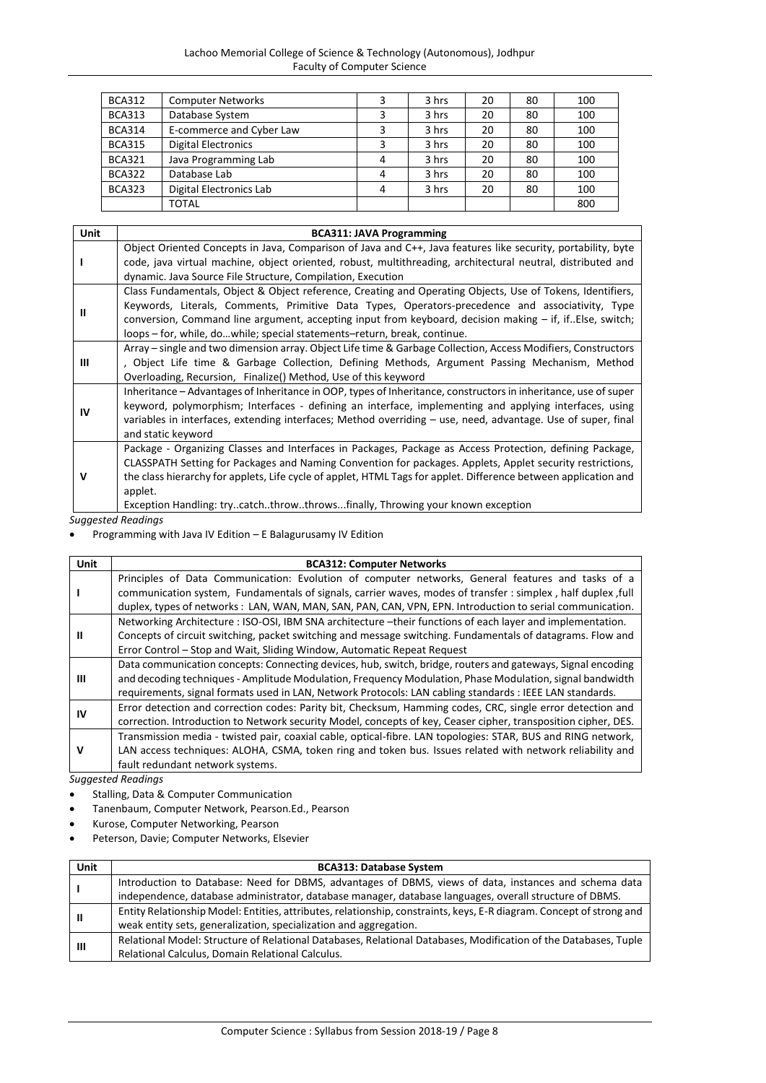# Lachoo Memorial College of Science & Technology (Autonomous), Jodhpur Faculty of Computer Science

| <b>BCA312</b> | <b>Computer Networks</b>   |   | 3 hrs | 20 | 80 | 100 |
|---------------|----------------------------|---|-------|----|----|-----|
| <b>BCA313</b> | Database System            |   | 3 hrs | 20 | 80 | 100 |
| <b>BCA314</b> | E-commerce and Cyber Law   |   | 3 hrs | 20 | 80 | 100 |
| <b>BCA315</b> | <b>Digital Electronics</b> |   | 3 hrs | 20 | 80 | 100 |
| <b>BCA321</b> | Java Programming Lab       | 4 | 3 hrs | 20 | 80 | 100 |
| <b>BCA322</b> | Database Lab               | 4 | 3 hrs | 20 | 80 | 100 |
| <b>BCA323</b> | Digital Electronics Lab    | 4 | 3 hrs | 20 | 80 | 100 |
|               | <b>TOTAL</b>               |   |       |    |    | 800 |

| <b>Unit</b> | <b>BCA311: JAVA Programming</b>                                                                                                                                                                                                                                                                                                                                                                                                      |
|-------------|--------------------------------------------------------------------------------------------------------------------------------------------------------------------------------------------------------------------------------------------------------------------------------------------------------------------------------------------------------------------------------------------------------------------------------------|
|             | Object Oriented Concepts in Java, Comparison of Java and C++, Java features like security, portability, byte<br>code, java virtual machine, object oriented, robust, multithreading, architectural neutral, distributed and                                                                                                                                                                                                          |
|             | dynamic. Java Source File Structure, Compilation, Execution                                                                                                                                                                                                                                                                                                                                                                          |
| Ш           | Class Fundamentals, Object & Object reference, Creating and Operating Objects, Use of Tokens, Identifiers,<br>Keywords, Literals, Comments, Primitive Data Types, Operators-precedence and associativity, Type<br>conversion, Command line argument, accepting input from keyboard, decision making $-$ if, if. Else, switch;<br>loops - for, while, dowhile; special statements-return, break, continue.                            |
| Ш           | Array – single and two dimension array. Object Life time & Garbage Collection, Access Modifiers, Constructors<br>, Object Life time & Garbage Collection, Defining Methods, Argument Passing Mechanism, Method<br>Overloading, Recursion, Finalize() Method, Use of this keyword                                                                                                                                                     |
| IV          | Inheritance – Advantages of Inheritance in OOP, types of Inheritance, constructors in inheritance, use of super<br>keyword, polymorphism; Interfaces - defining an interface, implementing and applying interfaces, using<br>variables in interfaces, extending interfaces; Method overriding – use, need, advantage. Use of super, final<br>and static keyword                                                                      |
| v           | Package - Organizing Classes and Interfaces in Packages, Package as Access Protection, defining Package,<br>CLASSPATH Setting for Packages and Naming Convention for packages. Applets, Applet security restrictions,<br>the class hierarchy for applets, Life cycle of applet, HTML Tags for applet. Difference between application and<br>applet.<br>Exception Handling: trycatchthrowthrowsfinally, Throwing your known exception |

*Suggested Readings*

Programming with Java IV Edition – E Balagurusamy IV Edition

| Unit      | <b>BCA312: Computer Networks</b>                                                                               |
|-----------|----------------------------------------------------------------------------------------------------------------|
|           | Principles of Data Communication: Evolution of computer networks, General features and tasks of a              |
|           | communication system, Fundamentals of signals, carrier waves, modes of transfer : simplex, half duplex, full   |
|           | duplex, types of networks: LAN, WAN, MAN, SAN, PAN, CAN, VPN, EPN. Introduction to serial communication.       |
|           | Networking Architecture : ISO-OSI, IBM SNA architecture -their functions of each layer and implementation.     |
| Ш         | Concepts of circuit switching, packet switching and message switching. Fundamentals of datagrams. Flow and     |
|           | Error Control – Stop and Wait, Sliding Window, Automatic Repeat Request                                        |
|           | Data communication concepts: Connecting devices, hub, switch, bridge, routers and gateways, Signal encoding    |
| ш         | and decoding techniques - Amplitude Modulation, Frequency Modulation, Phase Modulation, signal bandwidth       |
|           | requirements, signal formats used in LAN, Network Protocols: LAN cabling standards : IEEE LAN standards.       |
| <b>IV</b> | Error detection and correction codes: Parity bit, Checksum, Hamming codes, CRC, single error detection and     |
|           | correction. Introduction to Network security Model, concepts of key, Ceaser cipher, transposition cipher, DES. |
|           | Transmission media - twisted pair, coaxial cable, optical-fibre. LAN topologies: STAR, BUS and RING network,   |
| ν         | LAN access techniques: ALOHA, CSMA, token ring and token bus. Issues related with network reliability and      |
|           | fault redundant network systems.                                                                               |

- Stalling, Data & Computer Communication
- Tanenbaum, Computer Network, Pearson.Ed., Pearson
- Kurose, Computer Networking, Pearson
- Peterson, Davie; Computer Networks, Elsevier

| <b>Unit</b> | <b>BCA313: Database System</b>                                                                                       |
|-------------|----------------------------------------------------------------------------------------------------------------------|
|             | Introduction to Database: Need for DBMS, advantages of DBMS, views of data, instances and schema data                |
|             | independence, database administrator, database manager, database languages, overall structure of DBMS.               |
| Ш           | Entity Relationship Model: Entities, attributes, relationship, constraints, keys, E-R diagram. Concept of strong and |
|             | weak entity sets, generalization, specialization and aggregation.                                                    |
| ш           | Relational Model: Structure of Relational Databases, Relational Databases, Modification of the Databases, Tuple      |
|             | Relational Calculus, Domain Relational Calculus.                                                                     |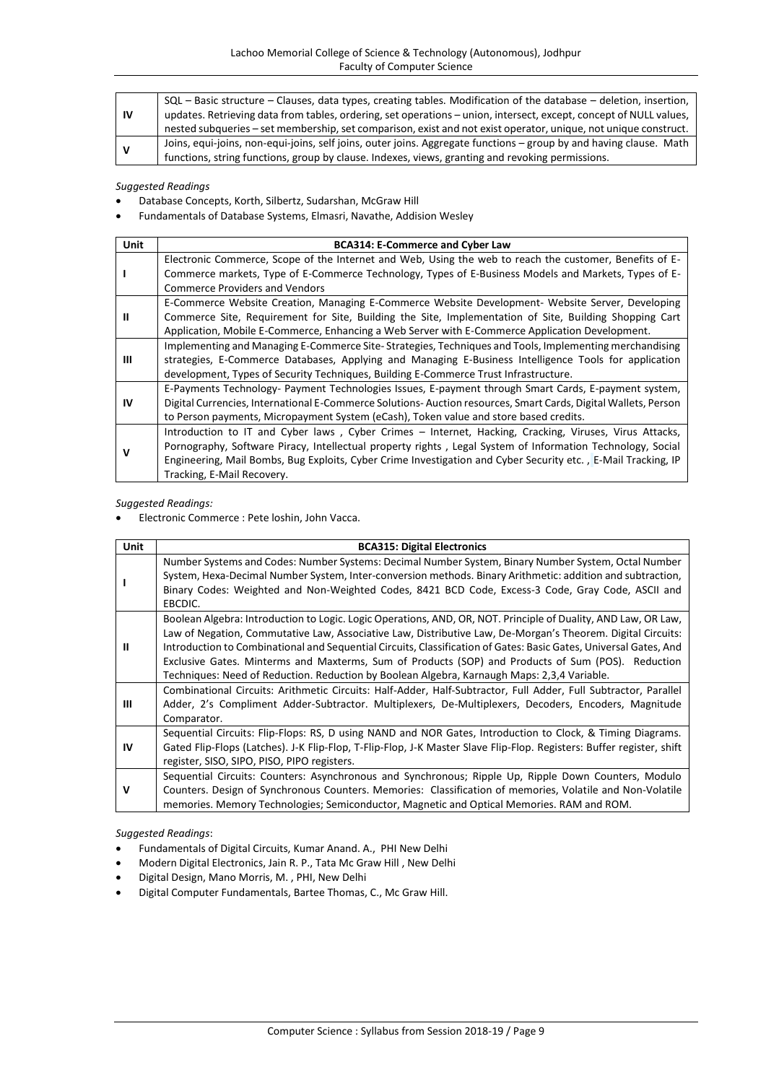| 1V | SQL - Basic structure - Clauses, data types, creating tables. Modification of the database - deletion, insertion,  |
|----|--------------------------------------------------------------------------------------------------------------------|
|    | updates. Retrieving data from tables, ordering, set operations - union, intersect, except, concept of NULL values, |
|    | nested subqueries - set membership, set comparison, exist and not exist operator, unique, not unique construct.    |
|    | Joins, equi-joins, non-equi-joins, self joins, outer joins. Aggregate functions - group by and having clause. Math |
|    | functions, string functions, group by clause. Indexes, views, granting and revoking permissions.                   |

- Database Concepts, Korth, Silbertz, Sudarshan, McGraw Hill
- Fundamentals of Database Systems, Elmasri, Navathe, Addision Wesley

| Unit | <b>BCA314: E-Commerce and Cyber Law</b>                                                                                                                                                                                                                                                                                                                             |
|------|---------------------------------------------------------------------------------------------------------------------------------------------------------------------------------------------------------------------------------------------------------------------------------------------------------------------------------------------------------------------|
|      | Electronic Commerce, Scope of the Internet and Web, Using the web to reach the customer, Benefits of E-<br>Commerce markets, Type of E-Commerce Technology, Types of E-Business Models and Markets, Types of E-                                                                                                                                                     |
|      | <b>Commerce Providers and Vendors</b>                                                                                                                                                                                                                                                                                                                               |
|      | E-Commerce Website Creation, Managing E-Commerce Website Development- Website Server, Developing                                                                                                                                                                                                                                                                    |
| Ш    | Commerce Site, Requirement for Site, Building the Site, Implementation of Site, Building Shopping Cart<br>Application, Mobile E-Commerce, Enhancing a Web Server with E-Commerce Application Development.                                                                                                                                                           |
| ш    | Implementing and Managing E-Commerce Site-Strategies, Techniques and Tools, Implementing merchandising<br>strategies, E-Commerce Databases, Applying and Managing E-Business Intelligence Tools for application<br>development, Types of Security Techniques, Building E-Commerce Trust Infrastructure.                                                             |
| IV   | E-Payments Technology- Payment Technologies Issues, E-payment through Smart Cards, E-payment system,<br>Digital Currencies, International E-Commerce Solutions-Auction resources, Smart Cards, Digital Wallets, Person<br>to Person payments, Micropayment System (eCash), Token value and store based credits.                                                     |
| ν    | Introduction to IT and Cyber laws, Cyber Crimes – Internet, Hacking, Cracking, Viruses, Virus Attacks,<br>Pornography, Software Piracy, Intellectual property rights, Legal System of Information Technology, Social<br>Engineering, Mail Bombs, Bug Exploits, Cyber Crime Investigation and Cyber Security etc., E-Mail Tracking, IP<br>Tracking, E-Mail Recovery. |

*Suggested Readings:*

Electronic Commerce : Pete loshin, John Vacca.

| Unit      | <b>BCA315: Digital Electronics</b>                                                                                                                                                                                                                                                                                                                                                                                                                                                                                                                      |
|-----------|---------------------------------------------------------------------------------------------------------------------------------------------------------------------------------------------------------------------------------------------------------------------------------------------------------------------------------------------------------------------------------------------------------------------------------------------------------------------------------------------------------------------------------------------------------|
|           | Number Systems and Codes: Number Systems: Decimal Number System, Binary Number System, Octal Number<br>System, Hexa-Decimal Number System, Inter-conversion methods. Binary Arithmetic: addition and subtraction,<br>Binary Codes: Weighted and Non-Weighted Codes, 8421 BCD Code, Excess-3 Code, Gray Code, ASCII and<br>EBCDIC.                                                                                                                                                                                                                       |
| Ш         | Boolean Algebra: Introduction to Logic. Logic Operations, AND, OR, NOT. Principle of Duality, AND Law, OR Law,<br>Law of Negation, Commutative Law, Associative Law, Distributive Law, De-Morgan's Theorem. Digital Circuits:<br>Introduction to Combinational and Sequential Circuits, Classification of Gates: Basic Gates, Universal Gates, And<br>Exclusive Gates. Minterms and Maxterms, Sum of Products (SOP) and Products of Sum (POS). Reduction<br>Techniques: Need of Reduction. Reduction by Boolean Algebra, Karnaugh Maps: 2,3,4 Variable. |
| Ш         | Combinational Circuits: Arithmetic Circuits: Half-Adder, Half-Subtractor, Full Adder, Full Subtractor, Parallel<br>Adder, 2's Compliment Adder-Subtractor. Multiplexers, De-Multiplexers, Decoders, Encoders, Magnitude<br>Comparator.                                                                                                                                                                                                                                                                                                                  |
| <b>IV</b> | Sequential Circuits: Flip-Flops: RS, D using NAND and NOR Gates, Introduction to Clock, & Timing Diagrams.<br>Gated Flip-Flops (Latches). J-K Flip-Flop, T-Flip-Flop, J-K Master Slave Flip-Flop. Registers: Buffer register, shift<br>register, SISO, SIPO, PISO, PIPO registers.                                                                                                                                                                                                                                                                      |
| v         | Sequential Circuits: Counters: Asynchronous and Synchronous; Ripple Up, Ripple Down Counters, Modulo<br>Counters. Design of Synchronous Counters. Memories: Classification of memories, Volatile and Non-Volatile<br>memories. Memory Technologies; Semiconductor, Magnetic and Optical Memories. RAM and ROM.                                                                                                                                                                                                                                          |

- Fundamentals of Digital Circuits, Kumar Anand. A., PHI New Delhi
- Modern Digital Electronics, Jain R. P., Tata Mc Graw Hill , New Delhi
- Digital Design, Mano Morris, M. , PHI, New Delhi
- Digital Computer Fundamentals, Bartee Thomas, C., Mc Graw Hill.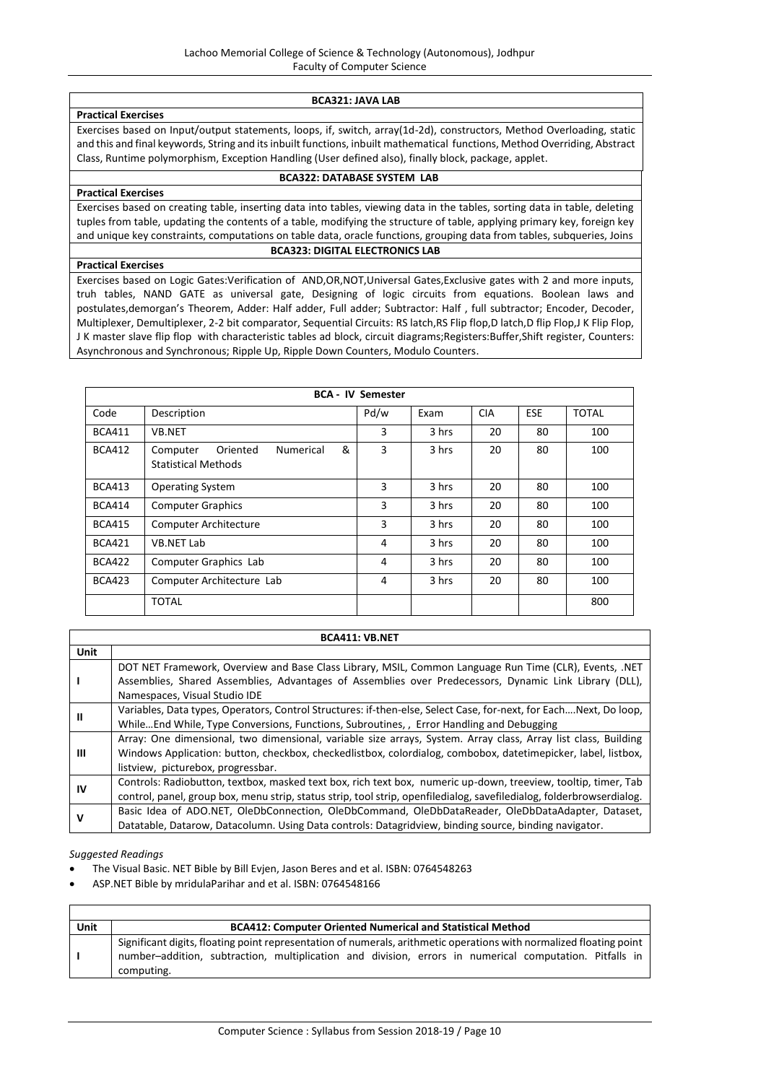#### **BCA321: JAVA LAB**

**Practical Exercises** Exercises based on Input/output statements, loops, if, switch, array(1d-2d), constructors, Method Overloading, static and this and final keywords, String and its inbuilt functions, inbuilt mathematical functions, Method Overriding, Abstract Class, Runtime polymorphism, Exception Handling (User defined also), finally block, package, applet.

# **BCA322: DATABASE SYSTEM LAB**

# **Practical Exercises**

Exercises based on creating table, inserting data into tables, viewing data in the tables, sorting data in table, deleting tuples from table, updating the contents of a table, modifying the structure of table, applying primary key, foreign key

and unique key constraints, computations on table data, oracle functions, grouping data from tables, subqueries, Joins

# **Practical Exercises**

# **BCA323: DIGITAL ELECTRONICS LAB**

Exercises based on Logic Gates:Verification of AND,OR,NOT,Universal Gates,Exclusive gates with 2 and more inputs, truh tables, NAND GATE as universal gate, Designing of logic circuits from equations. Boolean laws and postulates,demorgan's Theorem, Adder: Half adder, Full adder; Subtractor: Half , full subtractor; Encoder, Decoder, Multiplexer, Demultiplexer, 2-2 bit comparator, Sequential Circuits: RS latch,RS Flip flop,D latch,D flip Flop,J K Flip Flop, J K master slave flip flop with characteristic tables ad block, circuit diagrams;Registers:Buffer,Shift register, Counters: Asynchronous and Synchronous; Ripple Up, Ripple Down Counters, Modulo Counters.

|               |                                                                      | <b>BCA - IV Semester</b> |       |            |            |              |
|---------------|----------------------------------------------------------------------|--------------------------|-------|------------|------------|--------------|
| Code          | Description                                                          | Pd/w                     | Exam  | <b>CIA</b> | <b>ESE</b> | <b>TOTAL</b> |
| <b>BCA411</b> | <b>VB.NET</b>                                                        | 3                        | 3 hrs | 20         | 80         | 100          |
| <b>BCA412</b> | &<br>Oriented<br>Numerical<br>Computer<br><b>Statistical Methods</b> | 3                        | 3 hrs | 20         | 80         | 100          |
| <b>BCA413</b> | <b>Operating System</b>                                              | 3                        | 3 hrs | 20         | 80         | 100          |
| <b>BCA414</b> | <b>Computer Graphics</b>                                             | 3                        | 3 hrs | 20         | 80         | 100          |
| <b>BCA415</b> | <b>Computer Architecture</b>                                         | 3                        | 3 hrs | 20         | 80         | 100          |
| <b>BCA421</b> | VB.NET Lab                                                           | 4                        | 3 hrs | 20         | 80         | 100          |
| <b>BCA422</b> | Computer Graphics Lab                                                | 4                        | 3 hrs | 20         | 80         | 100          |
| <b>BCA423</b> | Computer Architecture Lab                                            | 4                        | 3 hrs | 20         | 80         | 100          |
|               | <b>TOTAL</b>                                                         |                          |       |            |            | 800          |

|             | <b>BCA411: VB.NET</b>                                                                                                                                                                                                                                                 |  |  |  |
|-------------|-----------------------------------------------------------------------------------------------------------------------------------------------------------------------------------------------------------------------------------------------------------------------|--|--|--|
| <b>Unit</b> |                                                                                                                                                                                                                                                                       |  |  |  |
|             | DOT NET Framework, Overview and Base Class Library, MSIL, Common Language Run Time (CLR), Events, .NET<br>Assemblies, Shared Assemblies, Advantages of Assemblies over Predecessors, Dynamic Link Library (DLL),<br>Namespaces, Visual Studio IDE                     |  |  |  |
| Ш           | Variables, Data types, Operators, Control Structures: if-then-else, Select Case, for-next, for EachNext, Do loop,<br>WhileEnd While, Type Conversions, Functions, Subroutines, , Error Handling and Debugging                                                         |  |  |  |
| Ш           | Array: One dimensional, two dimensional, variable size arrays, System. Array class, Array list class, Building<br>Windows Application: button, checkbox, checkedlistbox, colordialog, combobox, datetimepicker, label, listbox,<br>listview, picturebox, progressbar. |  |  |  |
| IV          | Controls: Radiobutton, textbox, masked text box, rich text box, numeric up-down, treeview, tooltip, timer, Tab<br>control, panel, group box, menu strip, status strip, tool strip, openfiledialog, savefiledialog, folderbrowserdialog.                               |  |  |  |
|             | Basic Idea of ADO.NET, OleDbConnection, OleDbCommand, OleDbDataReader, OleDbDataAdapter, Dataset,<br>Datatable, Datarow, Datacolumn. Using Data controls: Datagridview, binding source, binding navigator.                                                            |  |  |  |

- The Visual Basic. NET Bible by Bill Evjen, Jason Beres and et al. ISBN: 0764548263
- ASP.NET Bible by mridulaParihar and et al. ISBN: 0764548166

| Unit | <b>BCA412: Computer Oriented Numerical and Statistical Method</b>                                                                                                                                                                            |
|------|----------------------------------------------------------------------------------------------------------------------------------------------------------------------------------------------------------------------------------------------|
|      | Significant digits, floating point representation of numerals, arithmetic operations with normalized floating point<br>number-addition, subtraction, multiplication and division, errors in numerical computation. Pitfalls in<br>computing. |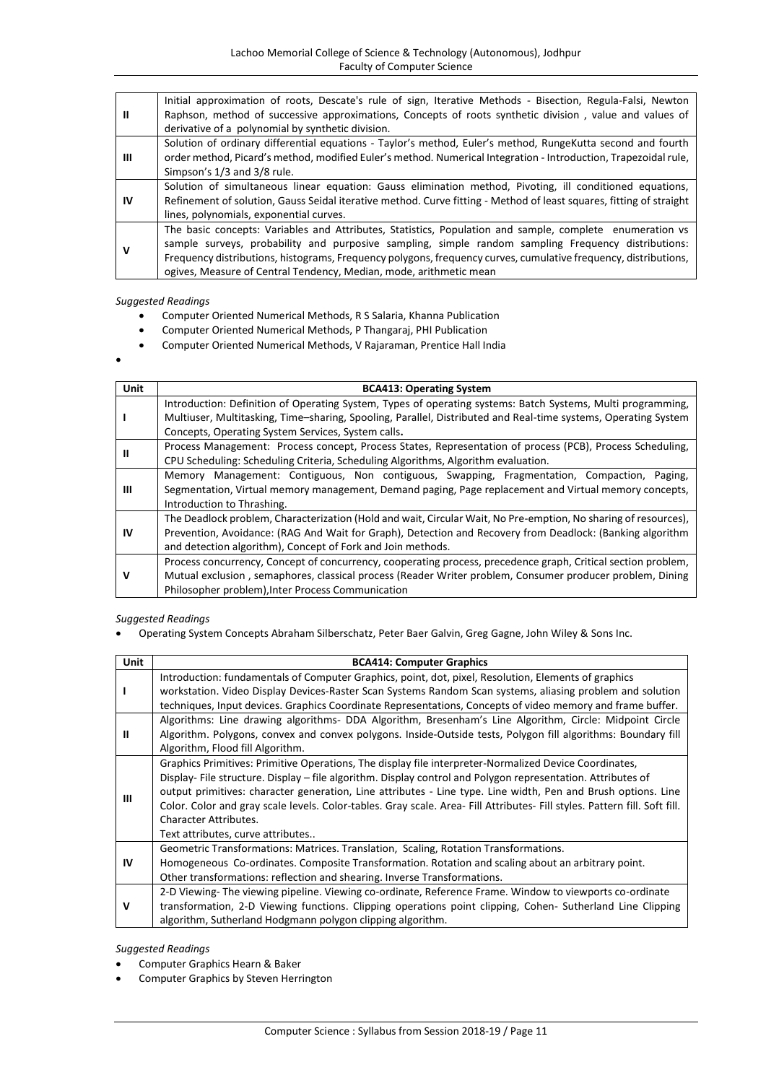| Ш  | Initial approximation of roots, Descate's rule of sign, Iterative Methods - Bisection, Regula-Falsi, Newton<br>Raphson, method of successive approximations, Concepts of roots synthetic division, value and values of<br>derivative of a polynomial by synthetic division. |
|----|-----------------------------------------------------------------------------------------------------------------------------------------------------------------------------------------------------------------------------------------------------------------------------|
|    |                                                                                                                                                                                                                                                                             |
|    | Solution of ordinary differential equations - Taylor's method, Euler's method, RungeKutta second and fourth                                                                                                                                                                 |
| Ш  | order method, Picard's method, modified Euler's method. Numerical Integration - Introduction, Trapezoidal rule,                                                                                                                                                             |
|    | Simpson's 1/3 and 3/8 rule.                                                                                                                                                                                                                                                 |
|    | Solution of simultaneous linear equation: Gauss elimination method, Pivoting, ill conditioned equations,                                                                                                                                                                    |
| IV | Refinement of solution, Gauss Seidal iterative method. Curve fitting - Method of least squares, fitting of straight                                                                                                                                                         |
|    | lines, polynomials, exponential curves.                                                                                                                                                                                                                                     |
|    | The basic concepts: Variables and Attributes, Statistics, Population and sample, complete enumeration vs                                                                                                                                                                    |
|    | sample surveys, probability and purposive sampling, simple random sampling Frequency distributions:                                                                                                                                                                         |
| v  | Frequency distributions, histograms, Frequency polygons, frequency curves, cumulative frequency, distributions,                                                                                                                                                             |
|    | ogives, Measure of Central Tendency, Median, mode, arithmetic mean                                                                                                                                                                                                          |
|    |                                                                                                                                                                                                                                                                             |

- Computer Oriented Numerical Methods, R S Salaria, Khanna Publication
- Computer Oriented Numerical Methods, P Thangaraj, PHI Publication
- Computer Oriented Numerical Methods, V Rajaraman, Prentice Hall India
- $\bullet$

| Unit | <b>BCA413: Operating System</b>                                                                                                                                                                                                                                                             |
|------|---------------------------------------------------------------------------------------------------------------------------------------------------------------------------------------------------------------------------------------------------------------------------------------------|
|      | Introduction: Definition of Operating System, Types of operating systems: Batch Systems, Multi programming,<br>Multiuser, Multitasking, Time-sharing, Spooling, Parallel, Distributed and Real-time systems, Operating System                                                               |
|      | Concepts, Operating System Services, System calls.                                                                                                                                                                                                                                          |
|      | Process Management: Process concept, Process States, Representation of process (PCB), Process Scheduling,<br>CPU Scheduling: Scheduling Criteria, Scheduling Algorithms, Algorithm evaluation.                                                                                              |
| ш    | Memory Management: Contiguous, Non contiguous, Swapping, Fragmentation, Compaction, Paging,<br>Segmentation, Virtual memory management, Demand paging, Page replacement and Virtual memory concepts,<br>Introduction to Thrashing.                                                          |
| ΙV   | The Deadlock problem, Characterization (Hold and wait, Circular Wait, No Pre-emption, No sharing of resources),<br>Prevention, Avoidance: (RAG And Wait for Graph), Detection and Recovery from Deadlock: (Banking algorithm<br>and detection algorithm), Concept of Fork and Join methods. |
|      | Process concurrency, Concept of concurrency, cooperating process, precedence graph, Critical section problem,<br>Mutual exclusion, semaphores, classical process (Reader Writer problem, Consumer producer problem, Dining<br>Philosopher problem), Inter Process Communication             |

# *Suggested Readings*

Operating System Concepts Abraham Silberschatz, Peter Baer Galvin, Greg Gagne, John Wiley & Sons Inc.

| <b>Unit</b> | <b>BCA414: Computer Graphics</b>                                                                                           |
|-------------|----------------------------------------------------------------------------------------------------------------------------|
|             | Introduction: fundamentals of Computer Graphics, point, dot, pixel, Resolution, Elements of graphics                       |
|             | workstation. Video Display Devices-Raster Scan Systems Random Scan systems, aliasing problem and solution                  |
|             | techniques, Input devices. Graphics Coordinate Representations, Concepts of video memory and frame buffer.                 |
|             | Algorithms: Line drawing algorithms- DDA Algorithm, Bresenham's Line Algorithm, Circle: Midpoint Circle                    |
| Ш           | Algorithm. Polygons, convex and convex polygons. Inside-Outside tests, Polygon fill algorithms: Boundary fill              |
|             | Algorithm, Flood fill Algorithm.                                                                                           |
|             | Graphics Primitives: Primitive Operations, The display file interpreter-Normalized Device Coordinates,                     |
|             | Display- File structure. Display – file algorithm. Display control and Polygon representation. Attributes of               |
| Ш           | output primitives: character generation, Line attributes - Line type. Line width, Pen and Brush options. Line              |
|             | Color. Color and gray scale levels. Color-tables. Gray scale. Area- Fill Attributes- Fill styles. Pattern fill. Soft fill. |
|             | <b>Character Attributes.</b>                                                                                               |
|             | Text attributes, curve attributes                                                                                          |
|             | Geometric Transformations: Matrices. Translation, Scaling, Rotation Transformations.                                       |
| IV          | Homogeneous Co-ordinates. Composite Transformation. Rotation and scaling about an arbitrary point.                         |
|             | Other transformations: reflection and shearing. Inverse Transformations.                                                   |
| v           | 2-D Viewing- The viewing pipeline. Viewing co-ordinate, Reference Frame. Window to viewports co-ordinate                   |
|             | transformation, 2-D Viewing functions. Clipping operations point clipping, Cohen- Sutherland Line Clipping                 |
|             | algorithm, Sutherland Hodgmann polygon clipping algorithm.                                                                 |

- Computer Graphics Hearn & Baker
- Computer Graphics by Steven Herrington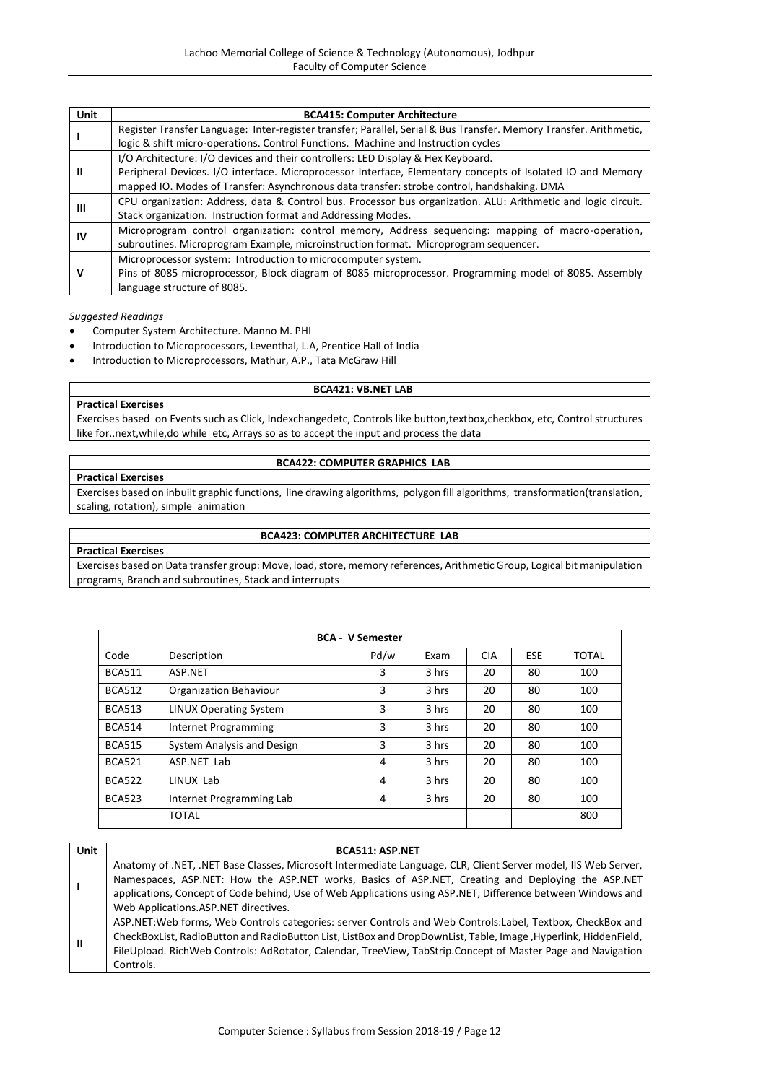| Unit | <b>BCA415: Computer Architecture</b>                                                                               |
|------|--------------------------------------------------------------------------------------------------------------------|
|      | Register Transfer Language: Inter-register transfer; Parallel, Serial & Bus Transfer. Memory Transfer. Arithmetic, |
|      | logic & shift micro-operations. Control Functions. Machine and Instruction cycles                                  |
|      | I/O Architecture: I/O devices and their controllers: LED Display & Hex Keyboard.                                   |
| Ш    | Peripheral Devices. I/O interface. Microprocessor Interface, Elementary concepts of Isolated IO and Memory         |
|      | mapped IO. Modes of Transfer: Asynchronous data transfer: strobe control, handshaking. DMA                         |
| ш    | CPU organization: Address, data & Control bus. Processor bus organization. ALU: Arithmetic and logic circuit.      |
|      | Stack organization. Instruction format and Addressing Modes.                                                       |
| ιv   | Microprogram control organization: control memory, Address sequencing: mapping of macro-operation,                 |
|      | subroutines. Microprogram Example, microinstruction format. Microprogram sequencer.                                |
|      | Microprocessor system: Introduction to microcomputer system.                                                       |
| ν    | Pins of 8085 microprocessor, Block diagram of 8085 microprocessor. Programming model of 8085. Assembly             |
|      | language structure of 8085.                                                                                        |

- Computer System Architecture. Manno M. PHI
- Introduction to Microprocessors, Leventhal, L.A, Prentice Hall of India
- Introduction to Microprocessors, Mathur, A.P., Tata McGraw Hill

#### **BCA421: VB.NET LAB**

# **Practical Exercises**

Exercises based on Events such as Click, Indexchangedetc, Controls like button,textbox,checkbox, etc, Control structures like for..next,while,do while etc, Arrays so as to accept the input and process the data

#### **BCA422: COMPUTER GRAPHICS LAB**

# **Practical Exercises**

Exercises based on inbuilt graphic functions, line drawing algorithms, polygon fill algorithms, transformation(translation, scaling, rotation), simple animation

# **BCA423: COMPUTER ARCHITECTURE LAB**

**Practical Exercises**

Exercises based on Data transfer group: Move, load, store, memory references, Arithmetic Group, Logical bit manipulation programs, Branch and subroutines, Stack and interrupts

|               | <b>BCA - V Semester</b>       |      |       |            |            |              |
|---------------|-------------------------------|------|-------|------------|------------|--------------|
| Code          | Description                   | Pd/w | Exam  | <b>CIA</b> | <b>ESE</b> | <b>TOTAL</b> |
| <b>BCA511</b> | ASP.NET                       | 3    | 3 hrs | 20         | 80         | 100          |
| <b>BCA512</b> | Organization Behaviour        | 3    | 3 hrs | 20         | 80         | 100          |
| <b>BCA513</b> | <b>LINUX Operating System</b> | 3    | 3 hrs | 20         | 80         | 100          |
| <b>BCA514</b> | Internet Programming          | 3    | 3 hrs | 20         | 80         | 100          |
| <b>BCA515</b> | System Analysis and Design    | 3    | 3 hrs | 20         | 80         | 100          |
| <b>BCA521</b> | ASP.NET Lab                   | 4    | 3 hrs | 20         | 80         | 100          |
| <b>BCA522</b> | LINUX Lab                     | 4    | 3 hrs | 20         | 80         | 100          |
| <b>BCA523</b> | Internet Programming Lab      | 4    | 3 hrs | 20         | 80         | 100          |
|               | <b>TOTAL</b>                  |      |       |            |            | 800          |

| Unit | <b>BCA511: ASP.NET</b>                                                                                                                                                                                                                                                                                                                                                     |
|------|----------------------------------------------------------------------------------------------------------------------------------------------------------------------------------------------------------------------------------------------------------------------------------------------------------------------------------------------------------------------------|
|      | Anatomy of .NET, .NET Base Classes, Microsoft Intermediate Language, CLR, Client Server model, IIS Web Server,<br>Namespaces, ASP.NET: How the ASP.NET works, Basics of ASP.NET, Creating and Deploying the ASP.NET<br>applications, Concept of Code behind, Use of Web Applications using ASP.NET, Difference between Windows and<br>Web Applications.ASP.NET directives. |
| Ш    | ASP.NET: Web forms, Web Controls categories: server Controls and Web Controls: Label, Textbox, CheckBox and<br>CheckBoxList, RadioButton and RadioButton List, ListBox and DropDownList, Table, Image, Hyperlink, HiddenField,<br>FileUpload. RichWeb Controls: AdRotator, Calendar, TreeView, TabStrip.Concept of Master Page and Navigation<br>Controls.                 |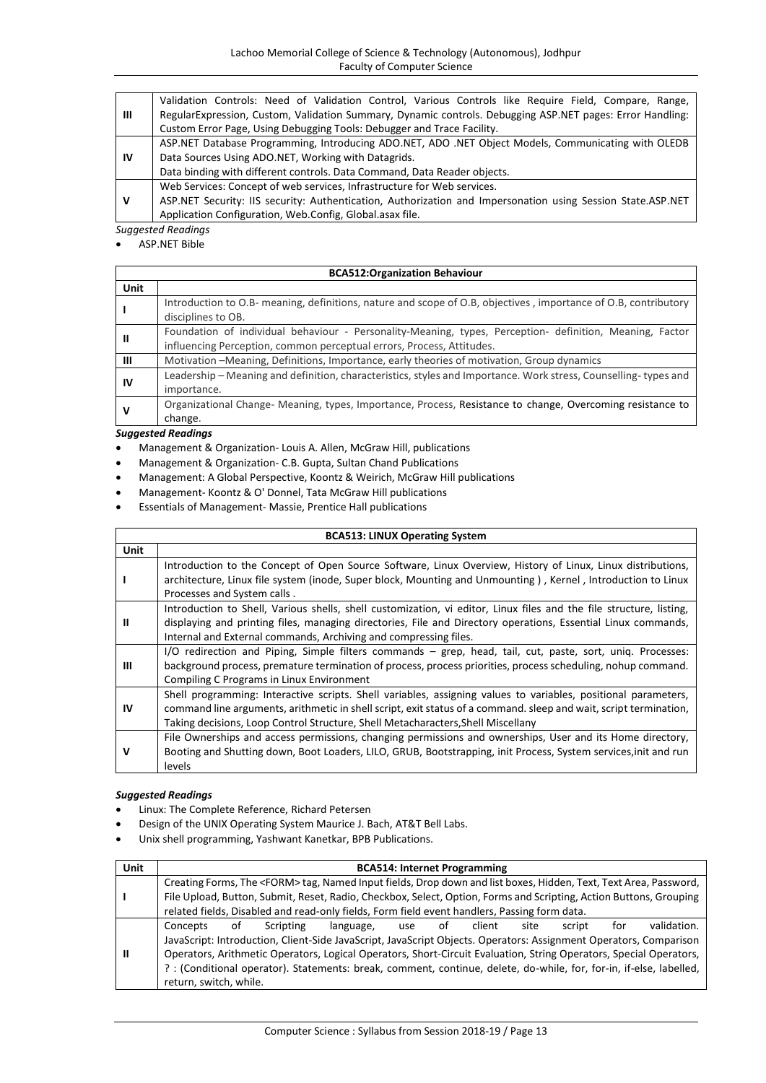|    | Validation Controls: Need of Validation Control, Various Controls like Require Field, Compare, Range,       |  |  |  |  |
|----|-------------------------------------------------------------------------------------------------------------|--|--|--|--|
| Ш  | RegularExpression, Custom, Validation Summary, Dynamic controls. Debugging ASP.NET pages: Error Handling:   |  |  |  |  |
|    | Custom Error Page, Using Debugging Tools: Debugger and Trace Facility.                                      |  |  |  |  |
|    | ASP.NET Database Programming, Introducing ADO.NET, ADO .NET Object Models, Communicating with OLEDB         |  |  |  |  |
| ΙV | Data Sources Using ADO.NET, Working with Datagrids.                                                         |  |  |  |  |
|    | Data binding with different controls. Data Command, Data Reader objects.                                    |  |  |  |  |
|    | Web Services: Concept of web services, Infrastructure for Web services.                                     |  |  |  |  |
| v  | ASP.NET Security: IIS security: Authentication, Authorization and Impersonation using Session State.ASP.NET |  |  |  |  |
|    | Application Configuration, Web.Config, Global.asax file.                                                    |  |  |  |  |

ASP.NET Bible

|             | <b>BCA512:Organization Behaviour</b>                                                                                                                                              |  |  |  |  |
|-------------|-----------------------------------------------------------------------------------------------------------------------------------------------------------------------------------|--|--|--|--|
| <b>Unit</b> |                                                                                                                                                                                   |  |  |  |  |
|             | Introduction to O.B- meaning, definitions, nature and scope of O.B, objectives, importance of O.B, contributory<br>disciplines to OB.                                             |  |  |  |  |
| Ш           | Foundation of individual behaviour - Personality-Meaning, types, Perception- definition, Meaning, Factor<br>influencing Perception, common perceptual errors, Process, Attitudes. |  |  |  |  |
| Ш           | Motivation – Meaning, Definitions, Importance, early theories of motivation, Group dynamics                                                                                       |  |  |  |  |
| IV          | Leadership – Meaning and definition, characteristics, styles and Importance. Work stress, Counselling-types and<br>importance.                                                    |  |  |  |  |
| v           | Organizational Change- Meaning, types, Importance, Process, Resistance to change, Overcoming resistance to<br>change.                                                             |  |  |  |  |

# *Suggested Readings*

Management & Organization- Louis A. Allen, McGraw Hill, publications

- Management & Organization- C.B. Gupta, Sultan Chand Publications
- Management: A Global Perspective, Koontz & Weirich, McGraw Hill publications
- Management- Koontz & O' Donnel, Tata McGraw Hill publications
- Essentials of Management- Massie, Prentice Hall publications

| <b>BCA513: LINUX Operating System</b> |                                                                                                                                                                                                                                      |  |  |  |
|---------------------------------------|--------------------------------------------------------------------------------------------------------------------------------------------------------------------------------------------------------------------------------------|--|--|--|
| Unit                                  |                                                                                                                                                                                                                                      |  |  |  |
|                                       | Introduction to the Concept of Open Source Software, Linux Overview, History of Linux, Linux distributions,<br>architecture, Linux file system (inode, Super block, Mounting and Unmounting), Kernel, Introduction to Linux          |  |  |  |
|                                       | Processes and System calls.                                                                                                                                                                                                          |  |  |  |
| Ш                                     | Introduction to Shell, Various shells, shell customization, vi editor, Linux files and the file structure, listing,<br>displaying and printing files, managing directories, File and Directory operations, Essential Linux commands, |  |  |  |
|                                       | Internal and External commands, Archiving and compressing files.                                                                                                                                                                     |  |  |  |
|                                       | I/O redirection and Piping, Simple filters commands - grep, head, tail, cut, paste, sort, uniq. Processes:                                                                                                                           |  |  |  |
| Ш                                     | background process, premature termination of process, process priorities, process scheduling, nohup command.                                                                                                                         |  |  |  |
|                                       | Compiling C Programs in Linux Environment                                                                                                                                                                                            |  |  |  |
|                                       | Shell programming: Interactive scripts. Shell variables, assigning values to variables, positional parameters,                                                                                                                       |  |  |  |
| IV                                    | command line arguments, arithmetic in shell script, exit status of a command. sleep and wait, script termination,                                                                                                                    |  |  |  |
|                                       | Taking decisions, Loop Control Structure, Shell Metacharacters, Shell Miscellany                                                                                                                                                     |  |  |  |
| v                                     | File Ownerships and access permissions, changing permissions and ownerships, User and its Home directory,                                                                                                                            |  |  |  |
|                                       | Booting and Shutting down, Boot Loaders, LILO, GRUB, Bootstrapping, init Process, System services, init and run                                                                                                                      |  |  |  |
|                                       | levels                                                                                                                                                                                                                               |  |  |  |

- Linux: The Complete Reference[, Richard Petersen](http://www.amazon.com/s/ref=dp_byline_sr_book_1?ie=UTF8&field-author=Richard+Petersen&search-alias=books&text=Richard+Petersen&sort=relevancerank)
- Design of the UNIX Operating System Maurice J. Bach, AT&T Bell Labs.
- Unix shell programming, Yashwant Kanetkar, BPB Publications.

| Unit | <b>BCA514: Internet Programming</b>                                                                                |                                                                                                                    |           |                                                                                                                        |     |    |        |      |        |     |             |
|------|--------------------------------------------------------------------------------------------------------------------|--------------------------------------------------------------------------------------------------------------------|-----------|------------------------------------------------------------------------------------------------------------------------|-----|----|--------|------|--------|-----|-------------|
|      |                                                                                                                    |                                                                                                                    |           | Creating Forms, The <form>tag, Named Input fields, Drop down and list boxes, Hidden, Text, Text Area, Password,</form> |     |    |        |      |        |     |             |
|      |                                                                                                                    |                                                                                                                    |           | File Upload, Button, Submit, Reset, Radio, Checkbox, Select, Option, Forms and Scripting, Action Buttons, Grouping     |     |    |        |      |        |     |             |
|      |                                                                                                                    |                                                                                                                    |           | related fields, Disabled and read-only fields, Form field event handlers, Passing form data.                           |     |    |        |      |        |     |             |
| Ш    | Concepts                                                                                                           | of                                                                                                                 | Scripting | language,                                                                                                              | use | of | client | site | script | for | validation. |
|      |                                                                                                                    | JavaScript: Introduction, Client-Side JavaScript, JavaScript Objects. Operators: Assignment Operators, Comparison  |           |                                                                                                                        |     |    |        |      |        |     |             |
|      | Operators, Arithmetic Operators, Logical Operators, Short-Circuit Evaluation, String Operators, Special Operators, |                                                                                                                    |           |                                                                                                                        |     |    |        |      |        |     |             |
|      |                                                                                                                    | ?: (Conditional operator). Statements: break, comment, continue, delete, do-while, for, for-in, if-else, labelled, |           |                                                                                                                        |     |    |        |      |        |     |             |
|      | return, switch, while.                                                                                             |                                                                                                                    |           |                                                                                                                        |     |    |        |      |        |     |             |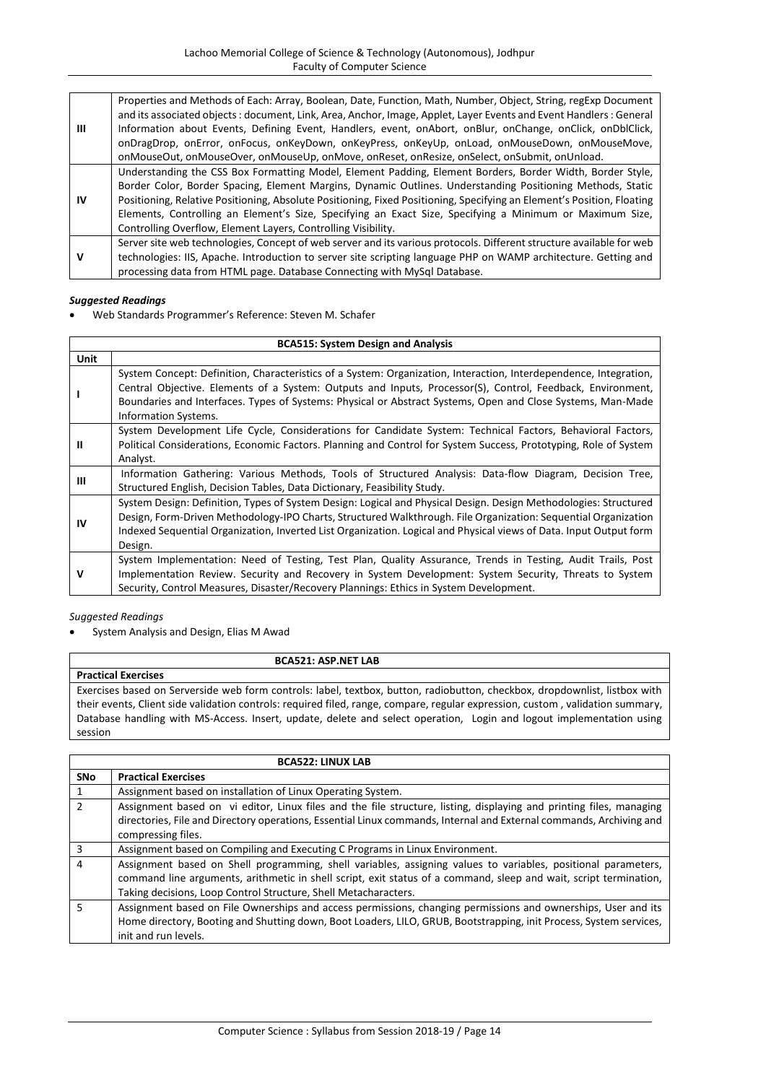| Ш  | Properties and Methods of Each: Array, Boolean, Date, Function, Math, Number, Object, String, regExp Document<br>and its associated objects : document, Link, Area, Anchor, Image, Applet, Layer Events and Event Handlers : General<br>Information about Events, Defining Event, Handlers, event, onAbort, onBlur, onChange, onClick, onDblClick,<br>onDragDrop, onError, onFocus, onKeyDown, onKeyPress, onKeyUp, onLoad, onMouseDown, onMouseMove,<br>onMouseOut, onMouseOver, onMouseUp, onMove, onReset, onResize, onSelect, onSubmit, onUnload. |
|----|-------------------------------------------------------------------------------------------------------------------------------------------------------------------------------------------------------------------------------------------------------------------------------------------------------------------------------------------------------------------------------------------------------------------------------------------------------------------------------------------------------------------------------------------------------|
| IV | Understanding the CSS Box Formatting Model, Element Padding, Element Borders, Border Width, Border Style,<br>Border Color, Border Spacing, Element Margins, Dynamic Outlines. Understanding Positioning Methods, Static<br>Positioning, Relative Positioning, Absolute Positioning, Fixed Positioning, Specifying an Element's Position, Floating<br>Elements, Controlling an Element's Size, Specifying an Exact Size, Specifying a Minimum or Maximum Size,<br>Controlling Overflow, Element Layers, Controlling Visibility.                        |
| v  | Server site web technologies, Concept of web server and its various protocols. Different structure available for web<br>technologies: IIS, Apache. Introduction to server site scripting language PHP on WAMP architecture. Getting and<br>processing data from HTML page. Database Connecting with MySql Database.                                                                                                                                                                                                                                   |

Web Standards Programmer's Reference: Steven M. Schafer

|      | <b>BCA515: System Design and Analysis</b>                                                                                                                                                                                                                                                                                                                              |  |  |  |  |
|------|------------------------------------------------------------------------------------------------------------------------------------------------------------------------------------------------------------------------------------------------------------------------------------------------------------------------------------------------------------------------|--|--|--|--|
| Unit |                                                                                                                                                                                                                                                                                                                                                                        |  |  |  |  |
|      | System Concept: Definition, Characteristics of a System: Organization, Interaction, Interdependence, Integration,<br>Central Objective. Elements of a System: Outputs and Inputs, Processor(S), Control, Feedback, Environment,<br>Boundaries and Interfaces. Types of Systems: Physical or Abstract Systems, Open and Close Systems, Man-Made<br>Information Systems. |  |  |  |  |
| Ш    | System Development Life Cycle, Considerations for Candidate System: Technical Factors, Behavioral Factors,<br>Political Considerations, Economic Factors. Planning and Control for System Success, Prototyping, Role of System<br>Analyst.                                                                                                                             |  |  |  |  |
| ш    | Information Gathering: Various Methods, Tools of Structured Analysis: Data-flow Diagram, Decision Tree,<br>Structured English, Decision Tables, Data Dictionary, Feasibility Study.                                                                                                                                                                                    |  |  |  |  |
| IV   | System Design: Definition, Types of System Design: Logical and Physical Design. Design Methodologies: Structured<br>Design, Form-Driven Methodology-IPO Charts, Structured Walkthrough. File Organization: Sequential Organization<br>Indexed Sequential Organization, Inverted List Organization. Logical and Physical views of Data. Input Output form<br>Design.    |  |  |  |  |
| v    | System Implementation: Need of Testing, Test Plan, Quality Assurance, Trends in Testing, Audit Trails, Post<br>Implementation Review. Security and Recovery in System Development: System Security, Threats to System<br>Security, Control Measures, Disaster/Recovery Plannings: Ethics in System Development.                                                        |  |  |  |  |

#### *Suggested Readings*

System Analysis and Design, Elias M Awad

# **BCA521: ASP.NET LAB Practical Exercises** Exercises based on Serverside web form controls: label, textbox, button, radiobutton, checkbox, dropdownlist, listbox with their events, Client side validation controls: required filed, range, compare, regular expression, custom , validation summary, Database handling with MS-Access. Insert, update, delete and select operation, Login and logout implementation using session

|                | <b>BCA522: LINUX LAB</b>                                                                                                                                                                                                                                                                              |
|----------------|-------------------------------------------------------------------------------------------------------------------------------------------------------------------------------------------------------------------------------------------------------------------------------------------------------|
| <b>SNo</b>     | <b>Practical Exercises</b>                                                                                                                                                                                                                                                                            |
|                | Assignment based on installation of Linux Operating System.                                                                                                                                                                                                                                           |
| $\overline{2}$ | Assignment based on vi editor, Linux files and the file structure, listing, displaying and printing files, managing<br>directories, File and Directory operations, Essential Linux commands, Internal and External commands, Archiving and<br>compressing files.                                      |
| 3              | Assignment based on Compiling and Executing C Programs in Linux Environment.                                                                                                                                                                                                                          |
| 4              | Assignment based on Shell programming, shell variables, assigning values to variables, positional parameters,<br>command line arguments, arithmetic in shell script, exit status of a command, sleep and wait, script termination,<br>Taking decisions, Loop Control Structure, Shell Metacharacters. |
| 5              | Assignment based on File Ownerships and access permissions, changing permissions and ownerships, User and its<br>Home directory, Booting and Shutting down, Boot Loaders, LILO, GRUB, Bootstrapping, init Process, System services,<br>init and run levels.                                           |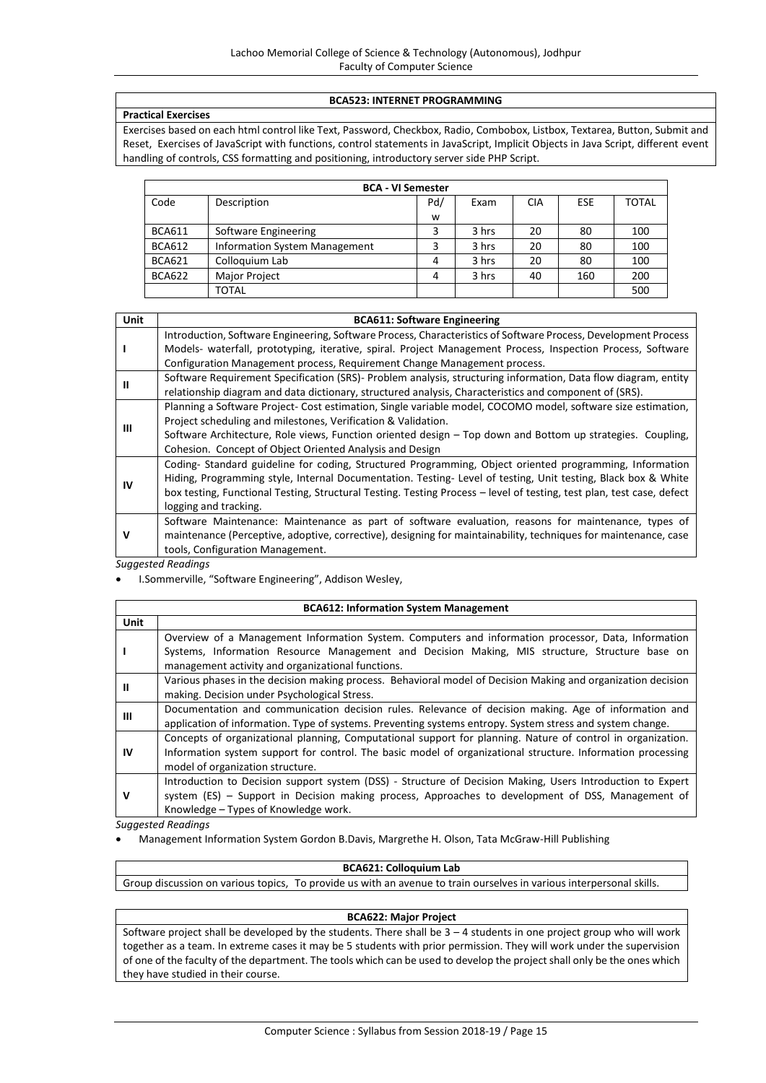#### **BCA523: INTERNET PROGRAMMING**

# **Practical Exercises**

Exercises based on each html control like Text, Password, Checkbox, Radio, Combobox, Listbox, Textarea, Button, Submit and Reset, Exercises of JavaScript with functions, control statements in JavaScript, Implicit Objects in Java Script, different event handling of controls, CSS formatting and positioning, introductory server side PHP Script.

|               | <b>BCA - VI Semester</b>             |     |       |            |            |              |  |  |
|---------------|--------------------------------------|-----|-------|------------|------------|--------------|--|--|
| Code          | Description                          | Pd/ | Exam  | <b>CIA</b> | <b>ESE</b> | <b>TOTAL</b> |  |  |
|               |                                      | w   |       |            |            |              |  |  |
| <b>BCA611</b> | Software Engineering                 |     | 3 hrs | 20         | 80         | 100          |  |  |
| <b>BCA612</b> | <b>Information System Management</b> | 3   | 3 hrs | 20         | 80         | 100          |  |  |
| <b>BCA621</b> | Colloquium Lab                       | 4   | 3 hrs | 20         | 80         | 100          |  |  |
| <b>BCA622</b> | <b>Major Project</b>                 | 4   | 3 hrs | 40         | 160        | 200          |  |  |
|               | TOTAL                                |     |       |            |            | 500          |  |  |

| Unit | <b>BCA611: Software Engineering</b>                                                                                   |
|------|-----------------------------------------------------------------------------------------------------------------------|
|      | Introduction, Software Engineering, Software Process, Characteristics of Software Process, Development Process        |
|      | Models- waterfall, prototyping, iterative, spiral. Project Management Process, Inspection Process, Software           |
|      | Configuration Management process, Requirement Change Management process.                                              |
| Ш    | Software Requirement Specification (SRS)- Problem analysis, structuring information, Data flow diagram, entity        |
|      | relationship diagram and data dictionary, structured analysis, Characteristics and component of (SRS).                |
|      | Planning a Software Project-Cost estimation, Single variable model, COCOMO model, software size estimation,           |
| ш    | Project scheduling and milestones, Verification & Validation.                                                         |
|      | Software Architecture, Role views, Function oriented design – Top down and Bottom up strategies. Coupling,            |
|      | Cohesion. Concept of Object Oriented Analysis and Design                                                              |
|      | Coding- Standard guideline for coding, Structured Programming, Object oriented programming, Information               |
| IV   | Hiding, Programming style, Internal Documentation. Testing-Level of testing, Unit testing, Black box & White          |
|      | box testing, Functional Testing, Structural Testing. Testing Process – level of testing, test plan, test case, defect |
|      | logging and tracking.                                                                                                 |
| v    | Software Maintenance: Maintenance as part of software evaluation, reasons for maintenance, types of                   |
|      | maintenance (Perceptive, adoptive, corrective), designing for maintainability, techniques for maintenance, case       |
|      | tools, Configuration Management.                                                                                      |
|      | Sugaected Readings                                                                                                    |

*Suggested Readings*

I.Sommerville, "Software Engineering", Addison Wesley,

|      | <b>BCA612: Information System Management</b>                                                                                                                                                                                                                   |  |  |  |  |
|------|----------------------------------------------------------------------------------------------------------------------------------------------------------------------------------------------------------------------------------------------------------------|--|--|--|--|
| Unit |                                                                                                                                                                                                                                                                |  |  |  |  |
|      | Overview of a Management Information System. Computers and information processor, Data, Information<br>Systems, Information Resource Management and Decision Making, MIS structure, Structure base on<br>management activity and organizational functions.     |  |  |  |  |
| Ш    | Various phases in the decision making process. Behavioral model of Decision Making and organization decision<br>making. Decision under Psychological Stress.                                                                                                   |  |  |  |  |
| Ш    | Documentation and communication decision rules. Relevance of decision making. Age of information and<br>application of information. Type of systems. Preventing systems entropy. System stress and system change.                                              |  |  |  |  |
| IV   | Concepts of organizational planning, Computational support for planning. Nature of control in organization.<br>Information system support for control. The basic model of organizational structure. Information processing<br>model of organization structure. |  |  |  |  |
| v    | Introduction to Decision support system (DSS) - Structure of Decision Making, Users Introduction to Expert<br>system (ES) – Support in Decision making process, Approaches to development of DSS, Management of<br>Knowledge - Types of Knowledge work.        |  |  |  |  |

*Suggested Readings*

Management Information System Gordon B.Davis, Margrethe H. Olson, Tata McGraw-Hill Publishing

#### **BCA621: Colloquium Lab**

Group discussion on various topics, To provide us with an avenue to train ourselves in various interpersonal skills.

# **BCA622: Major Project**

Software project shall be developed by the students. There shall be 3 – 4 students in one project group who will work together as a team. In extreme cases it may be 5 students with prior permission. They will work under the supervision of one of the faculty of the department. The tools which can be used to develop the project shall only be the ones which they have studied in their course.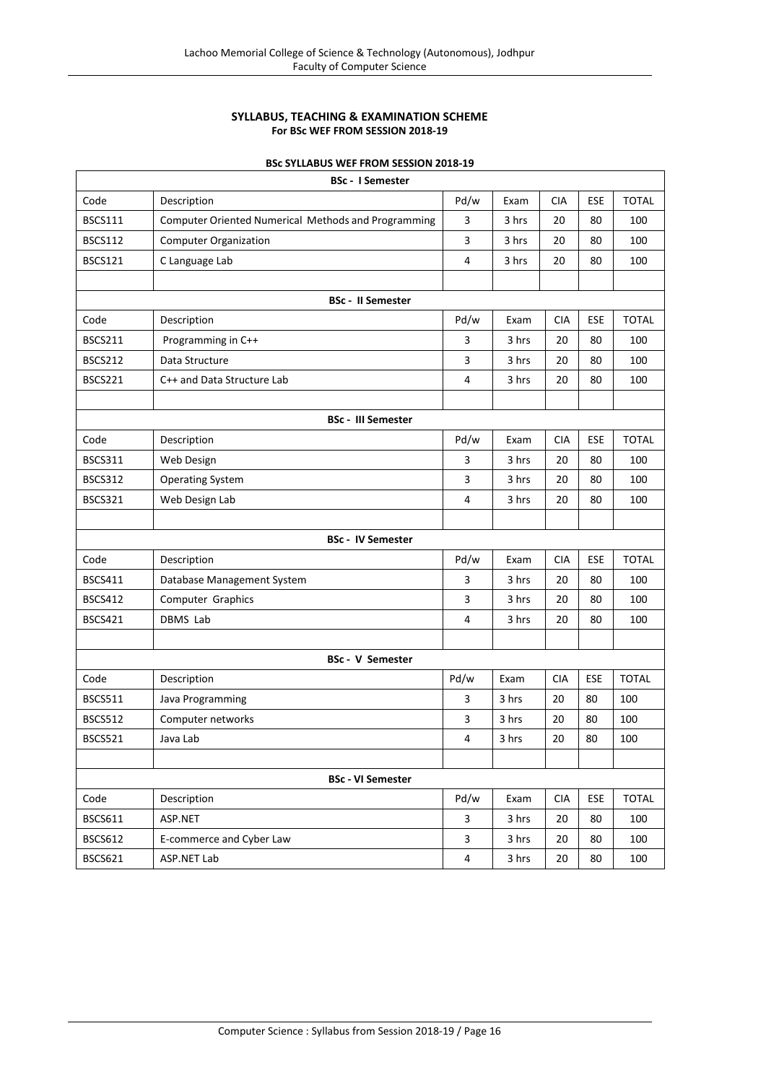# **SYLLABUS, TEACHING & EXAMINATION SCHEME For BSc WEF FROM SESSION 2018-19**

|--|

| <b>BSc - I Semester</b> |                                                     |                         |       |            |            |              |  |  |  |
|-------------------------|-----------------------------------------------------|-------------------------|-------|------------|------------|--------------|--|--|--|
| Code                    | Description                                         | Pd/w                    | Exam  | <b>CIA</b> | ESE        | <b>TOTAL</b> |  |  |  |
| <b>BSCS111</b>          | Computer Oriented Numerical Methods and Programming | 3                       | 3 hrs | 20         | 80         | 100          |  |  |  |
| <b>BSCS112</b>          | <b>Computer Organization</b>                        | 3                       | 3 hrs | 20         | 80         | 100          |  |  |  |
| <b>BSCS121</b>          | C Language Lab                                      | 4                       | 3 hrs | 20         | 80         | 100          |  |  |  |
|                         |                                                     |                         |       |            |            |              |  |  |  |
|                         | <b>BSc - II Semester</b>                            |                         |       |            |            |              |  |  |  |
| Code                    | Description                                         | Pd/w                    | Exam  | <b>CIA</b> | ESE        | <b>TOTAL</b> |  |  |  |
| <b>BSCS211</b>          | Programming in C++                                  | 3                       | 3 hrs | 20         | 80         | 100          |  |  |  |
| <b>BSCS212</b>          | Data Structure                                      | 3                       | 3 hrs | 20         | 80         | 100          |  |  |  |
| <b>BSCS221</b>          | C++ and Data Structure Lab                          | 4                       | 3 hrs | 20         | 80         | 100          |  |  |  |
|                         |                                                     |                         |       |            |            |              |  |  |  |
|                         | <b>BSc - III Semester</b>                           |                         |       |            |            |              |  |  |  |
| Code                    | Description                                         | Pd/w                    | Exam  | <b>CIA</b> | ESE        | <b>TOTAL</b> |  |  |  |
| BSCS311                 | Web Design                                          | 3                       | 3 hrs | 20         | 80         | 100          |  |  |  |
| BSCS312                 | <b>Operating System</b>                             | 3                       | 3 hrs | 20         | 80         | 100          |  |  |  |
| <b>BSCS321</b>          | Web Design Lab                                      | 4                       | 3 hrs | 20         | 80         | 100          |  |  |  |
|                         |                                                     |                         |       |            |            |              |  |  |  |
|                         | <b>BSc - IV Semester</b>                            |                         |       |            |            |              |  |  |  |
| Code                    | Description                                         | Pd/w                    | Exam  | <b>CIA</b> | ESE        | <b>TOTAL</b> |  |  |  |
| <b>BSCS411</b>          | Database Management System                          | 3                       | 3 hrs | 20         | 80         | 100          |  |  |  |
| <b>BSCS412</b>          | Computer Graphics                                   | 3                       | 3 hrs | 20         | 80         | 100          |  |  |  |
| <b>BSCS421</b>          | <b>DBMS Lab</b>                                     | 4                       | 3 hrs | 20         | 80         | 100          |  |  |  |
|                         |                                                     |                         |       |            |            |              |  |  |  |
|                         | <b>BSc - V Semester</b>                             |                         |       |            |            |              |  |  |  |
| Code                    | Description                                         | Pd/w                    | Exam  | <b>CIA</b> | <b>ESE</b> | <b>TOTAL</b> |  |  |  |
| BSCS511                 | Java Programming                                    | 3                       | 3 hrs | 20         | 80         | 100          |  |  |  |
| <b>BSCS512</b>          | Computer networks                                   | 3                       | 3 hrs | 20         | 80         | 100          |  |  |  |
| <b>BSCS521</b>          | Java Lab                                            | 4                       | 3 hrs | 20         | 80         | 100          |  |  |  |
|                         |                                                     |                         |       |            |            |              |  |  |  |
|                         | <b>BSc - VI Semester</b>                            |                         |       |            |            |              |  |  |  |
| Code                    | Description                                         | Pd/w                    | Exam  | <b>CIA</b> | <b>ESE</b> | <b>TOTAL</b> |  |  |  |
| <b>BSCS611</b>          | ASP.NET                                             | 3                       | 3 hrs | 20         | 80         | 100          |  |  |  |
| <b>BSCS612</b>          | E-commerce and Cyber Law                            | $\overline{\mathbf{3}}$ | 3 hrs | 20         | 80         | 100          |  |  |  |
| <b>BSCS621</b>          | ASP.NET Lab                                         | 4                       | 3 hrs | 20         | 80         | 100          |  |  |  |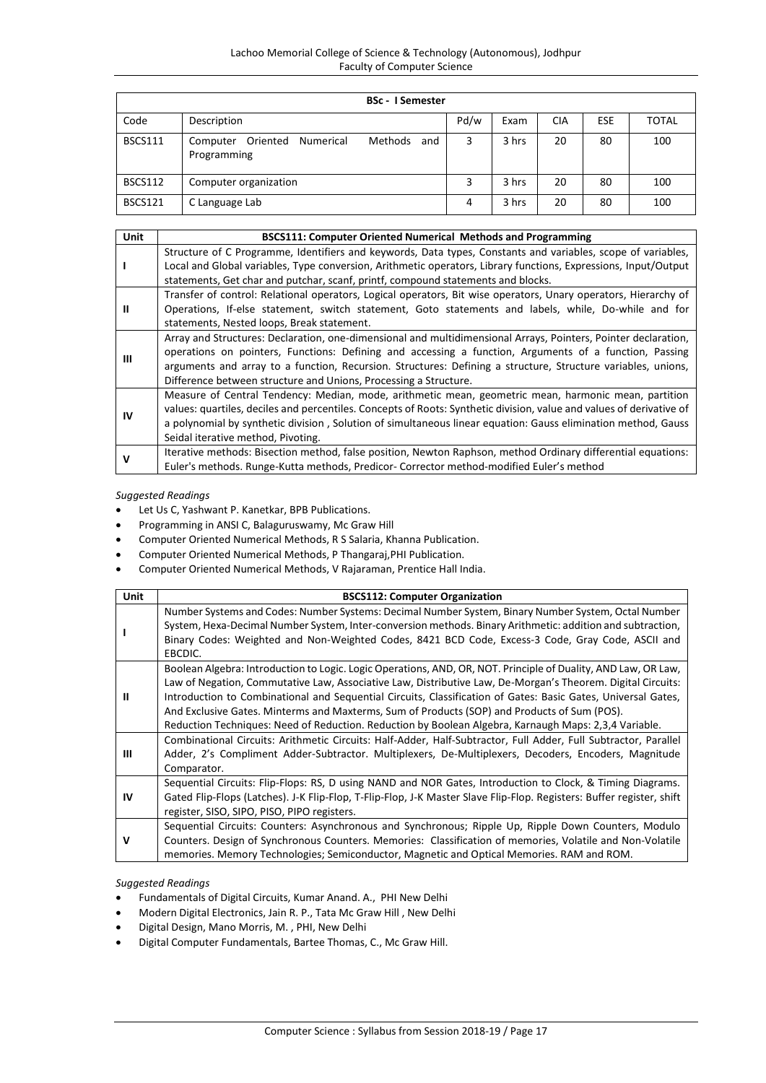|                | <b>BSc - I Semester</b>                                            |      |       |            |     |       |
|----------------|--------------------------------------------------------------------|------|-------|------------|-----|-------|
| Code           | Description                                                        | Pd/w | Exam  | <b>CIA</b> | ESE | TOTAL |
| <b>BSCS111</b> | Methods<br>Oriented<br>Numerical<br>Computer<br>and<br>Programming | 3    | 3 hrs | 20         | 80  | 100   |
| BSCS112        | Computer organization                                              | 3    | 3 hrs | 20         | 80  | 100   |
| BSCS121        | C Language Lab                                                     | 4    | 3 hrs | 20         | 80  | 100   |

| Unit | BSCS111: Computer Oriented Numerical Methods and Programming                                                         |
|------|----------------------------------------------------------------------------------------------------------------------|
|      | Structure of C Programme, Identifiers and keywords, Data types, Constants and variables, scope of variables,         |
|      | Local and Global variables, Type conversion, Arithmetic operators, Library functions, Expressions, Input/Output      |
|      | statements, Get char and putchar, scanf, printf, compound statements and blocks.                                     |
|      | Transfer of control: Relational operators, Logical operators, Bit wise operators, Unary operators, Hierarchy of      |
| Ш    | Operations, If-else statement, switch statement, Goto statements and labels, while, Do-while and for                 |
|      | statements, Nested loops, Break statement.                                                                           |
|      | Array and Structures: Declaration, one-dimensional and multidimensional Arrays, Pointers, Pointer declaration,       |
| Ш    | operations on pointers, Functions: Defining and accessing a function, Arguments of a function, Passing               |
|      | arguments and array to a function, Recursion. Structures: Defining a structure, Structure variables, unions,         |
|      | Difference between structure and Unions, Processing a Structure.                                                     |
|      | Measure of Central Tendency: Median, mode, arithmetic mean, geometric mean, harmonic mean, partition                 |
| IV   | values: quartiles, deciles and percentiles. Concepts of Roots: Synthetic division, value and values of derivative of |
|      | a polynomial by synthetic division, Solution of simultaneous linear equation: Gauss elimination method, Gauss        |
|      | Seidal iterative method, Pivoting.                                                                                   |
|      | Iterative methods: Bisection method, false position, Newton Raphson, method Ordinary differential equations:         |
|      | Euler's methods. Runge-Kutta methods, Predicor- Corrector method-modified Euler's method                             |

- Let Us C, Yashwant P. Kanetkar, BPB Publications.
- Programming in ANSI C, Balaguruswamy, Mc Graw Hill
- Computer Oriented Numerical Methods, R S Salaria, Khanna Publication.
- Computer Oriented Numerical Methods, P Thangaraj,PHI Publication.
- Computer Oriented Numerical Methods, V Rajaraman, Prentice Hall India.

| Unit      | <b>BSCS112: Computer Organization</b>                                                                                                                                                                                                                                                                                                                                                                                                                                                                                                                   |
|-----------|---------------------------------------------------------------------------------------------------------------------------------------------------------------------------------------------------------------------------------------------------------------------------------------------------------------------------------------------------------------------------------------------------------------------------------------------------------------------------------------------------------------------------------------------------------|
|           | Number Systems and Codes: Number Systems: Decimal Number System, Binary Number System, Octal Number<br>System, Hexa-Decimal Number System, Inter-conversion methods. Binary Arithmetic: addition and subtraction,<br>Binary Codes: Weighted and Non-Weighted Codes, 8421 BCD Code, Excess-3 Code, Gray Code, ASCII and<br>EBCDIC.                                                                                                                                                                                                                       |
| Ш         | Boolean Algebra: Introduction to Logic. Logic Operations, AND, OR, NOT. Principle of Duality, AND Law, OR Law,<br>Law of Negation, Commutative Law, Associative Law, Distributive Law, De-Morgan's Theorem. Digital Circuits:<br>Introduction to Combinational and Sequential Circuits, Classification of Gates: Basic Gates, Universal Gates,<br>And Exclusive Gates. Minterms and Maxterms, Sum of Products (SOP) and Products of Sum (POS).<br>Reduction Techniques: Need of Reduction. Reduction by Boolean Algebra, Karnaugh Maps: 2,3,4 Variable. |
| Ш         | Combinational Circuits: Arithmetic Circuits: Half-Adder, Half-Subtractor, Full Adder, Full Subtractor, Parallel<br>Adder, 2's Compliment Adder-Subtractor. Multiplexers, De-Multiplexers, Decoders, Encoders, Magnitude<br>Comparator.                                                                                                                                                                                                                                                                                                                  |
| <b>IV</b> | Sequential Circuits: Flip-Flops: RS, D using NAND and NOR Gates, Introduction to Clock, & Timing Diagrams.<br>Gated Flip-Flops (Latches). J-K Flip-Flop, T-Flip-Flop, J-K Master Slave Flip-Flop. Registers: Buffer register, shift<br>register, SISO, SIPO, PISO, PIPO registers.                                                                                                                                                                                                                                                                      |
| v         | Sequential Circuits: Counters: Asynchronous and Synchronous; Ripple Up, Ripple Down Counters, Modulo<br>Counters. Design of Synchronous Counters. Memories: Classification of memories, Volatile and Non-Volatile<br>memories. Memory Technologies; Semiconductor, Magnetic and Optical Memories. RAM and ROM.                                                                                                                                                                                                                                          |

- Fundamentals of Digital Circuits, Kumar Anand. A., PHI New Delhi
- Modern Digital Electronics, Jain R. P., Tata Mc Graw Hill , New Delhi
- Digital Design, Mano Morris, M. , PHI, New Delhi
- Digital Computer Fundamentals, Bartee Thomas, C., Mc Graw Hill.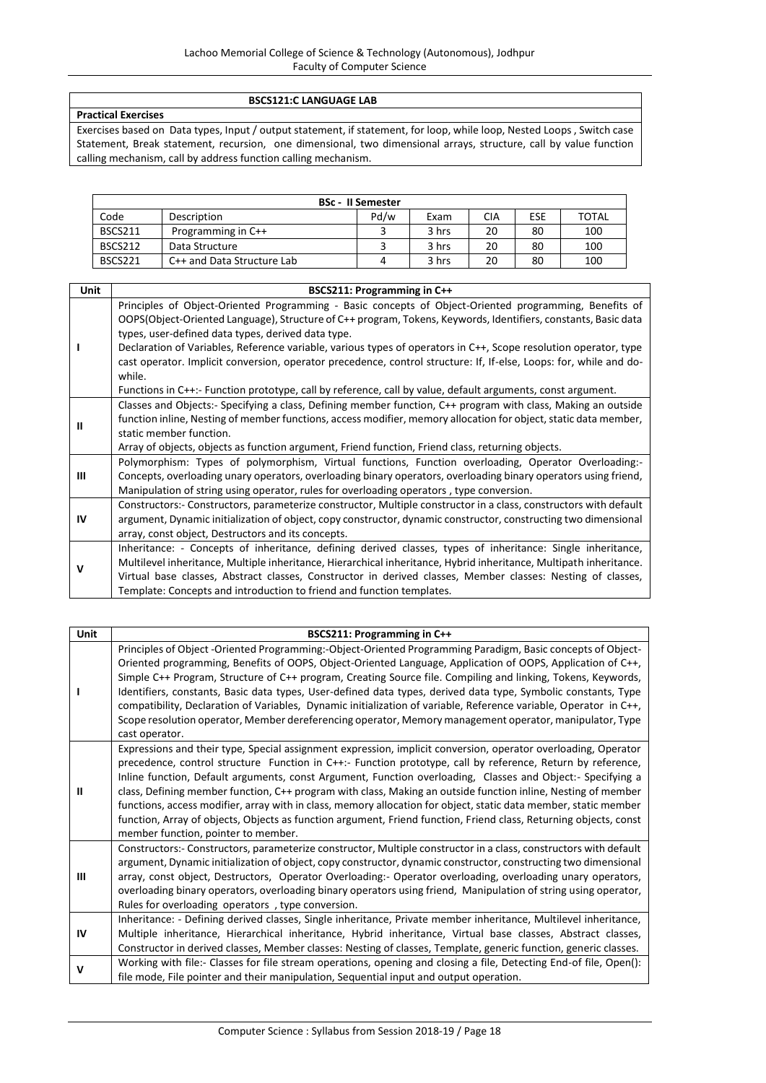# **BSCS121:C LANGUAGE LAB**

**Practical Exercises**

Exercises based on Data types, Input / output statement, if statement, for loop, while loop, Nested Loops , Switch case Statement, Break statement, recursion, one dimensional, two dimensional arrays, structure, call by value function calling mechanism, call by address function calling mechanism.

|                |                            | <b>BSc - II Semester</b> |       |     |     |              |
|----------------|----------------------------|--------------------------|-------|-----|-----|--------------|
| Code           | Description                | Pd/w                     | Exam  | CIA | ESE | <b>TOTAL</b> |
| <b>BSCS211</b> | Programming in C++         |                          | 3 hrs | 20  | 80  | 100          |
| BSCS212        | Data Structure             |                          | 3 hrs | 20  | 80  | 100          |
| BSCS221        | C++ and Data Structure Lab |                          | 3 hrs | 20  | 80  | 100          |

| Unit | BSCS211: Programming in C++                                                                                                                                                                                                                                                                                                                                                                                                                                                                                                                                                                                                                       |
|------|---------------------------------------------------------------------------------------------------------------------------------------------------------------------------------------------------------------------------------------------------------------------------------------------------------------------------------------------------------------------------------------------------------------------------------------------------------------------------------------------------------------------------------------------------------------------------------------------------------------------------------------------------|
|      | Principles of Object-Oriented Programming - Basic concepts of Object-Oriented programming, Benefits of<br>OOPS(Object-Oriented Language), Structure of C++ program, Tokens, Keywords, Identifiers, constants, Basic data<br>types, user-defined data types, derived data type.<br>Declaration of Variables, Reference variable, various types of operators in C++, Scope resolution operator, type<br>cast operator. Implicit conversion, operator precedence, control structure: If, If-else, Loops: for, while and do-<br>while.<br>Functions in C++:- Function prototype, call by reference, call by value, default arguments, const argument. |
| Ш    | Classes and Objects:- Specifying a class, Defining member function, C++ program with class, Making an outside<br>function inline, Nesting of member functions, access modifier, memory allocation for object, static data member,<br>static member function.<br>Array of objects, objects as function argument, Friend function, Friend class, returning objects.                                                                                                                                                                                                                                                                                 |
| Ш    | Polymorphism: Types of polymorphism, Virtual functions, Function overloading, Operator Overloading:-<br>Concepts, overloading unary operators, overloading binary operators, overloading binary operators using friend,<br>Manipulation of string using operator, rules for overloading operators, type conversion.                                                                                                                                                                                                                                                                                                                               |
| IV   | Constructors:- Constructors, parameterize constructor, Multiple constructor in a class, constructors with default<br>argument, Dynamic initialization of object, copy constructor, dynamic constructor, constructing two dimensional<br>array, const object, Destructors and its concepts.                                                                                                                                                                                                                                                                                                                                                        |
| v    | Inheritance: - Concepts of inheritance, defining derived classes, types of inheritance: Single inheritance,<br>Multilevel inheritance, Multiple inheritance, Hierarchical inheritance, Hybrid inheritance, Multipath inheritance.<br>Virtual base classes, Abstract classes, Constructor in derived classes, Member classes: Nesting of classes,<br>Template: Concepts and introduction to friend and function templates.                                                                                                                                                                                                                         |

| <b>Unit</b> | BSCS211: Programming in C++                                                                                                                                                                                                                                                                                                                                                                                                                                                                                                                                                                                                                                                                                                                   |
|-------------|-----------------------------------------------------------------------------------------------------------------------------------------------------------------------------------------------------------------------------------------------------------------------------------------------------------------------------------------------------------------------------------------------------------------------------------------------------------------------------------------------------------------------------------------------------------------------------------------------------------------------------------------------------------------------------------------------------------------------------------------------|
|             | Principles of Object -Oriented Programming:-Object-Oriented Programming Paradigm, Basic concepts of Object-<br>Oriented programming, Benefits of OOPS, Object-Oriented Language, Application of OOPS, Application of C++,<br>Simple C++ Program, Structure of C++ program, Creating Source file. Compiling and linking, Tokens, Keywords,<br>Identifiers, constants, Basic data types, User-defined data types, derived data type, Symbolic constants, Type<br>compatibility, Declaration of Variables, Dynamic initialization of variable, Reference variable, Operator in C++,<br>Scope resolution operator, Member dereferencing operator, Memory management operator, manipulator, Type<br>cast operator.                                 |
| Ш           | Expressions and their type, Special assignment expression, implicit conversion, operator overloading, Operator<br>precedence, control structure Function in C++:- Function prototype, call by reference, Return by reference,<br>Inline function, Default arguments, const Argument, Function overloading, Classes and Object:- Specifying a<br>class, Defining member function, C++ program with class, Making an outside function inline, Nesting of member<br>functions, access modifier, array with in class, memory allocation for object, static data member, static member<br>function, Array of objects, Objects as function argument, Friend function, Friend class, Returning objects, const<br>member function, pointer to member. |
| Ш           | Constructors:- Constructors, parameterize constructor, Multiple constructor in a class, constructors with default<br>argument, Dynamic initialization of object, copy constructor, dynamic constructor, constructing two dimensional<br>array, const object, Destructors, Operator Overloading:- Operator overloading, overloading unary operators,<br>overloading binary operators, overloading binary operators using friend, Manipulation of string using operator,<br>Rules for overloading operators, type conversion.                                                                                                                                                                                                                   |
| IV          | Inheritance: - Defining derived classes, Single inheritance, Private member inheritance, Multilevel inheritance,<br>Multiple inheritance, Hierarchical inheritance, Hybrid inheritance, Virtual base classes, Abstract classes,<br>Constructor in derived classes, Member classes: Nesting of classes, Template, generic function, generic classes.                                                                                                                                                                                                                                                                                                                                                                                           |
| $\mathbf v$ | Working with file:- Classes for file stream operations, opening and closing a file, Detecting End-of file, Open():<br>file mode, File pointer and their manipulation, Sequential input and output operation.                                                                                                                                                                                                                                                                                                                                                                                                                                                                                                                                  |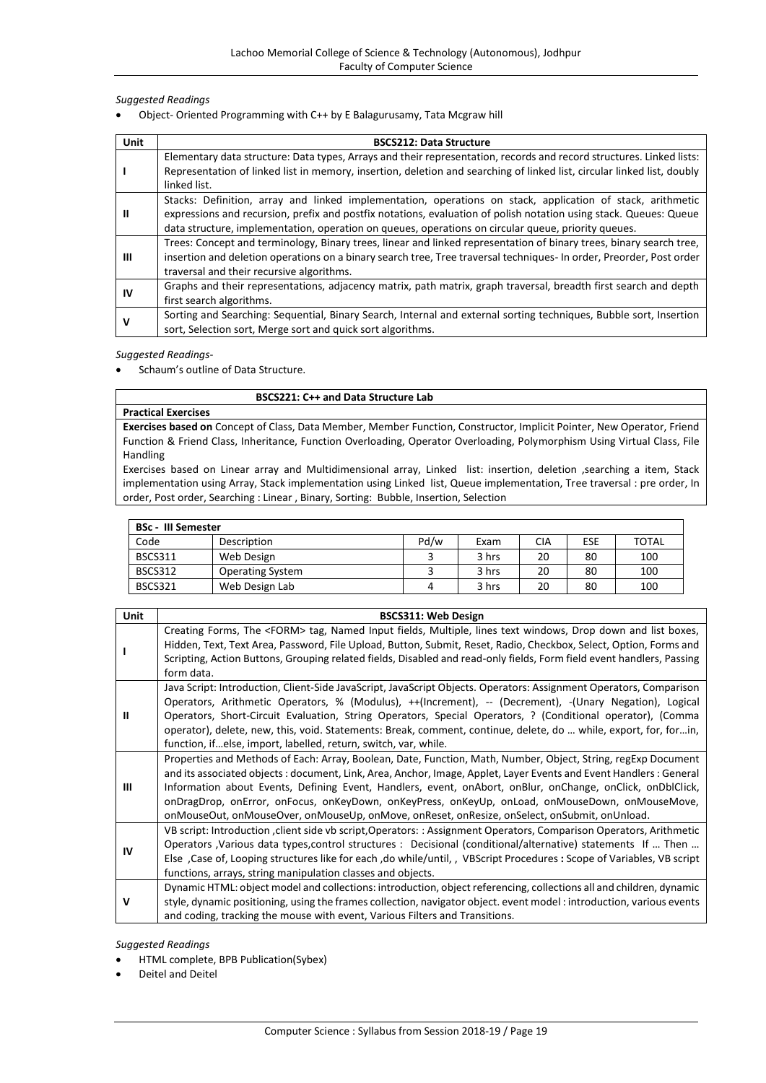Object- Oriented Programming with C++ by E Balagurusamy, Tata Mcgraw hill

| Unit | <b>BSCS212: Data Structure</b>                                                                                          |
|------|-------------------------------------------------------------------------------------------------------------------------|
|      | Elementary data structure: Data types, Arrays and their representation, records and record structures. Linked lists:    |
|      | Representation of linked list in memory, insertion, deletion and searching of linked list, circular linked list, doubly |
|      | linked list.                                                                                                            |
|      | Stacks: Definition, array and linked implementation, operations on stack, application of stack, arithmetic              |
| Ш    | expressions and recursion, prefix and postfix notations, evaluation of polish notation using stack. Queues: Queue       |
|      | data structure, implementation, operation on queues, operations on circular queue, priority queues.                     |
|      | Trees: Concept and terminology, Binary trees, linear and linked representation of binary trees, binary search tree,     |
| Ш    | insertion and deletion operations on a binary search tree, Tree traversal techniques- In order, Preorder, Post order    |
|      | traversal and their recursive algorithms.                                                                               |
|      | Graphs and their representations, adjacency matrix, path matrix, graph traversal, breadth first search and depth        |
| IV   | first search algorithms.                                                                                                |
|      | Sorting and Searching: Sequential, Binary Search, Internal and external sorting techniques, Bubble sort, Insertion      |
| ν    | sort, Selection sort, Merge sort and quick sort algorithms.                                                             |

# *Suggested Readings*-

Schaum's outline of Data Structure.

#### **BSCS221: C++ and Data Structure Lab**

#### **Practical Exercises**

**Exercises based on** Concept of Class, Data Member, Member Function, Constructor, Implicit Pointer, New Operator, Friend Function & Friend Class, Inheritance, Function Overloading, Operator Overloading, Polymorphism Using Virtual Class, File Handling

Exercises based on Linear array and Multidimensional array, Linked list: insertion, deletion ,searching a item, Stack implementation using Array, Stack implementation using Linked list, Queue implementation, Tree traversal : pre order, In order, Post order, Searching : Linear , Binary, Sorting: Bubble, Insertion, Selection

| <b>BSc - III Semester</b> |                         |      |       |     |     |              |
|---------------------------|-------------------------|------|-------|-----|-----|--------------|
| Code                      | Description             | Pd/w | Exam  | CIA | ESE | <b>TOTAL</b> |
| <b>BSCS311</b>            | Web Design              |      | 3 hrs | 20  | 80  | 100          |
| <b>BSCS312</b>            | <b>Operating System</b> |      | 3 hrs | 20  | 80  | 100          |
| <b>BSCS321</b>            | Web Design Lab          |      | 3 hrs | 20  | 80  | 100          |

| <b>Unit</b> | <b>BSCS311: Web Design</b>                                                                                                                                                                                                                                                                                                                                                                                                                                                                                                                          |
|-------------|-----------------------------------------------------------------------------------------------------------------------------------------------------------------------------------------------------------------------------------------------------------------------------------------------------------------------------------------------------------------------------------------------------------------------------------------------------------------------------------------------------------------------------------------------------|
|             | Creating Forms, The <form> tag, Named Input fields, Multiple, lines text windows, Drop down and list boxes,<br/>Hidden, Text, Text Area, Password, File Upload, Button, Submit, Reset, Radio, Checkbox, Select, Option, Forms and<br/>Scripting, Action Buttons, Grouping related fields, Disabled and read-only fields, Form field event handlers, Passing<br/>form data.</form>                                                                                                                                                                   |
| Ш           | Java Script: Introduction, Client-Side JavaScript, JavaScript Objects. Operators: Assignment Operators, Comparison<br>Operators, Arithmetic Operators, % (Modulus), ++(Increment), -- (Decrement), -(Unary Negation), Logical<br>Operators, Short-Circuit Evaluation, String Operators, Special Operators, ? (Conditional operator), (Comma<br>operator), delete, new, this, void. Statements: Break, comment, continue, delete, do  while, export, for, forin,<br>function, ifelse, import, labelled, return, switch, var, while.                  |
| Ш           | Properties and Methods of Each: Array, Boolean, Date, Function, Math, Number, Object, String, regExp Document<br>and its associated objects: document, Link, Area, Anchor, Image, Applet, Layer Events and Event Handlers: General<br>Information about Events, Defining Event, Handlers, event, onAbort, onBlur, onChange, onClick, onDblClick,<br>onDragDrop, onError, onFocus, onKeyDown, onKeyPress, onKeyUp, onLoad, onMouseDown, onMouseMove,<br>onMouseOut, onMouseOver, onMouseUp, onMove, onReset, onResize, onSelect, onSubmit, onUnload. |
| IV          | VB script: Introduction , client side vb script, Operators: : Assignment Operators, Comparison Operators, Arithmetic<br>Operators , Various data types, control structures : Decisional (conditional/alternative) statements If  Then<br>Else, Case of, Looping structures like for each, do while/until,, VBScript Procedures: Scope of Variables, VB script<br>functions, arrays, string manipulation classes and objects.                                                                                                                        |
| v           | Dynamic HTML: object model and collections: introduction, object referencing, collections all and children, dynamic<br>style, dynamic positioning, using the frames collection, navigator object. event model: introduction, various events<br>and coding, tracking the mouse with event, Various Filters and Transitions.                                                                                                                                                                                                                          |

#### *Suggested Readings*

HTML complete, BPB Publication(Sybex)

Deitel and Deitel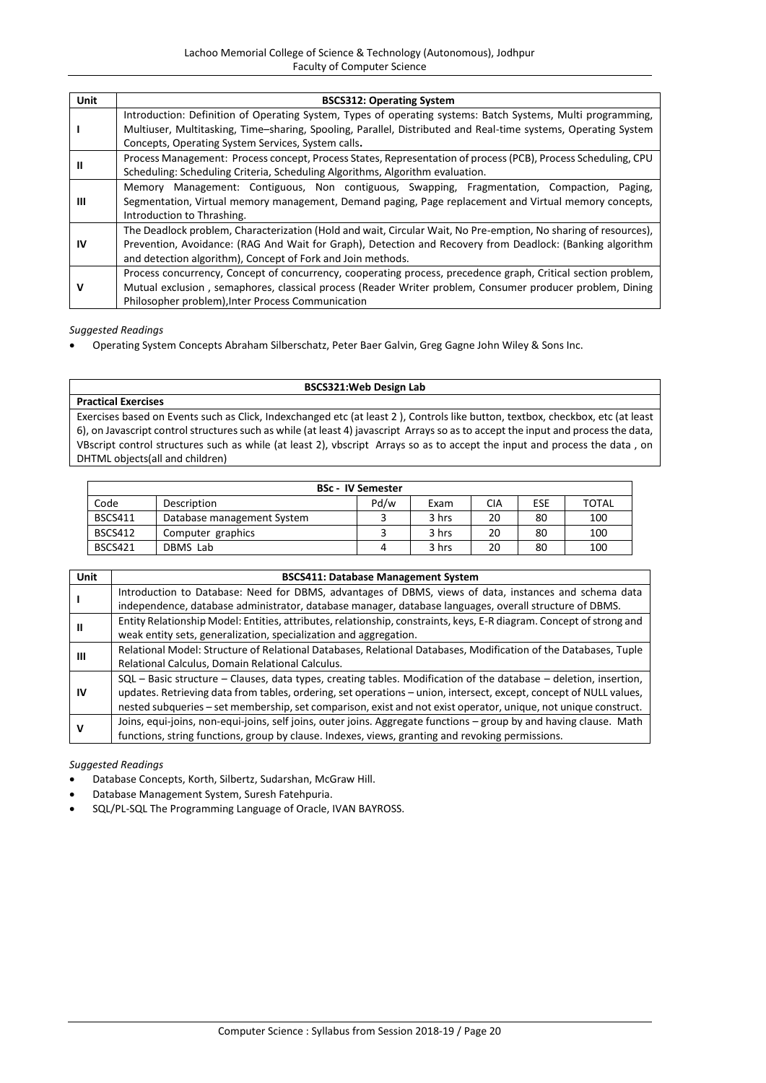| Unit | <b>BSCS312: Operating System</b>                                                                                                                                                                                                                                                            |
|------|---------------------------------------------------------------------------------------------------------------------------------------------------------------------------------------------------------------------------------------------------------------------------------------------|
|      | Introduction: Definition of Operating System, Types of operating systems: Batch Systems, Multi programming,                                                                                                                                                                                 |
|      | Multiuser, Multitasking, Time-sharing, Spooling, Parallel, Distributed and Real-time systems, Operating System<br>Concepts, Operating System Services, System calls.                                                                                                                        |
| Ш    | Process Management: Process concept, Process States, Representation of process (PCB), Process Scheduling, CPU<br>Scheduling: Scheduling Criteria, Scheduling Algorithms, Algorithm evaluation.                                                                                              |
| Ш    | Memory Management: Contiguous, Non contiguous, Swapping, Fragmentation, Compaction,<br>Paging,<br>Segmentation, Virtual memory management, Demand paging, Page replacement and Virtual memory concepts,<br>Introduction to Thrashing.                                                       |
| IV   | The Deadlock problem, Characterization (Hold and wait, Circular Wait, No Pre-emption, No sharing of resources),<br>Prevention, Avoidance: (RAG And Wait for Graph), Detection and Recovery from Deadlock: (Banking algorithm<br>and detection algorithm), Concept of Fork and Join methods. |
| v    | Process concurrency, Concept of concurrency, cooperating process, precedence graph, Critical section problem,<br>Mutual exclusion, semaphores, classical process (Reader Writer problem, Consumer producer problem, Dining<br>Philosopher problem), Inter Process Communication             |

Operating System Concepts Abraham Silberschatz, Peter Baer Galvin, Greg Gagne John Wiley & Sons Inc.

# **BSCS321:Web Design Lab**

**Practical Exercises** Exercises based on Events such as Click, Indexchanged etc (at least 2 ), Controls like button, textbox, checkbox, etc (at least 6), on Javascript control structures such as while (at least 4) javascript Arrays so as to accept the input and process the data, VBscript control structures such as while (at least 2), vbscript Arrays so as to accept the input and process the data , on DHTML objects(all and children)

|                |                            | <b>BSc - IV Semester</b> |       |     |     |              |
|----------------|----------------------------|--------------------------|-------|-----|-----|--------------|
| Code           | Description                | Pd/w                     | Exam  | CIA | ESE | <b>TOTAL</b> |
| <b>BSCS411</b> | Database management System |                          | 3 hrs | 20  | 80  | 100          |
| <b>BSCS412</b> | Computer graphics          |                          | 3 hrs | 20  | 80  | 100          |
| <b>BSCS421</b> | DBMS Lab                   |                          | 3 hrs | 20  | 80  | 100          |

| Unit | <b>BSCS411: Database Management System</b>                                                                           |
|------|----------------------------------------------------------------------------------------------------------------------|
|      | Introduction to Database: Need for DBMS, advantages of DBMS, views of data, instances and schema data                |
|      | independence, database administrator, database manager, database languages, overall structure of DBMS.               |
|      | Entity Relationship Model: Entities, attributes, relationship, constraints, keys, E-R diagram. Concept of strong and |
| Ш    | weak entity sets, generalization, specialization and aggregation.                                                    |
|      | Relational Model: Structure of Relational Databases, Relational Databases, Modification of the Databases, Tuple      |
| Ш    | Relational Calculus, Domain Relational Calculus.                                                                     |
|      | $SQL$ – Basic structure – Clauses, data types, creating tables. Modification of the database – deletion, insertion,  |
| IV   | updates. Retrieving data from tables, ordering, set operations – union, intersect, except, concept of NULL values,   |
|      | nested subqueries – set membership, set comparison, exist and not exist operator, unique, not unique construct.      |
|      | Joins, equi-joins, non-equi-joins, self joins, outer joins. Aggregate functions - group by and having clause. Math   |
|      | functions, string functions, group by clause. Indexes, views, granting and revoking permissions.                     |

- Database Concepts, Korth, Silbertz, Sudarshan, McGraw Hill.
- Database Management System, Suresh Fatehpuria.
- SQL/PL-SQL The Programming Language of Oracle, IVAN BAYROSS.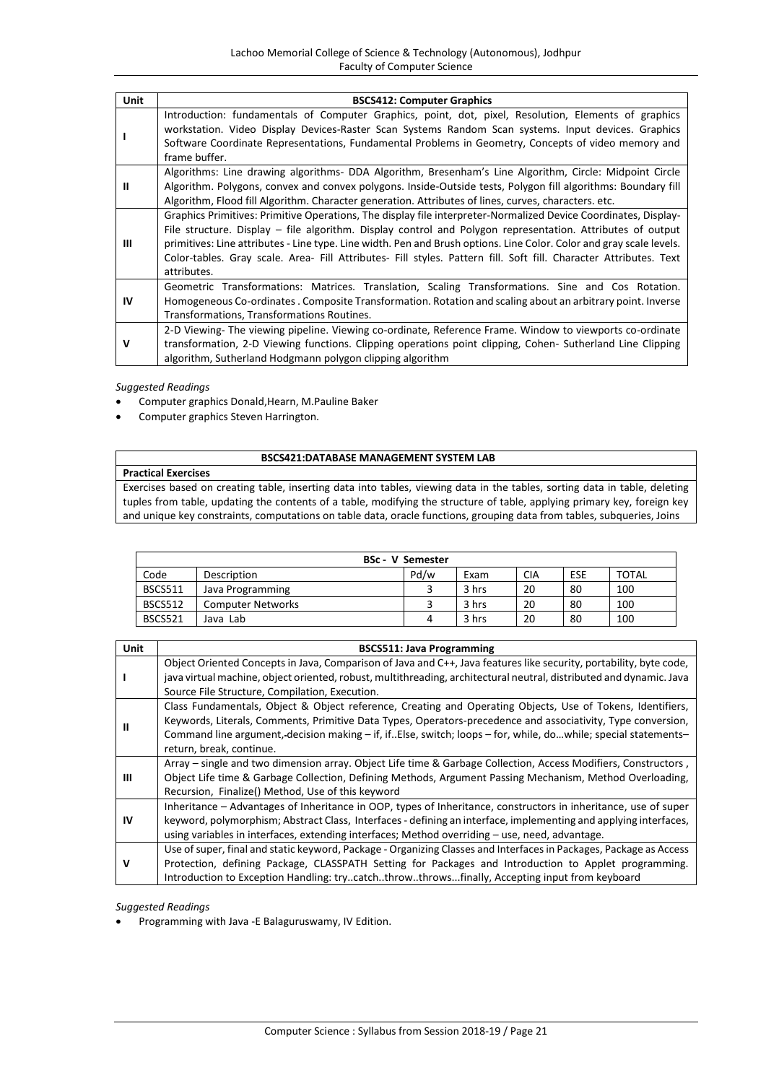| Unit | <b>BSCS412: Computer Graphics</b>                                                                                                                                                                                                                                                                                                                                                                                                                                                         |
|------|-------------------------------------------------------------------------------------------------------------------------------------------------------------------------------------------------------------------------------------------------------------------------------------------------------------------------------------------------------------------------------------------------------------------------------------------------------------------------------------------|
|      | Introduction: fundamentals of Computer Graphics, point, dot, pixel, Resolution, Elements of graphics<br>workstation. Video Display Devices-Raster Scan Systems Random Scan systems. Input devices. Graphics<br>Software Coordinate Representations, Fundamental Problems in Geometry, Concepts of video memory and<br>frame buffer.                                                                                                                                                       |
| Ш    | Algorithms: Line drawing algorithms- DDA Algorithm, Bresenham's Line Algorithm, Circle: Midpoint Circle<br>Algorithm. Polygons, convex and convex polygons. Inside-Outside tests, Polygon fill algorithms: Boundary fill<br>Algorithm, Flood fill Algorithm. Character generation. Attributes of lines, curves, characters. etc.                                                                                                                                                          |
| Ш    | Graphics Primitives: Primitive Operations, The display file interpreter-Normalized Device Coordinates, Display-<br>File structure. Display – file algorithm. Display control and Polygon representation. Attributes of output<br>primitives: Line attributes - Line type. Line width. Pen and Brush options. Line Color. Color and gray scale levels.<br>Color-tables. Gray scale. Area- Fill Attributes- Fill styles. Pattern fill. Soft fill. Character Attributes. Text<br>attributes. |
| IV   | Geometric Transformations: Matrices. Translation, Scaling Transformations. Sine and Cos Rotation.<br>Homogeneous Co-ordinates. Composite Transformation. Rotation and scaling about an arbitrary point. Inverse<br>Transformations, Transformations Routines.                                                                                                                                                                                                                             |
| v    | 2-D Viewing- The viewing pipeline. Viewing co-ordinate, Reference Frame. Window to viewports co-ordinate<br>transformation, 2-D Viewing functions. Clipping operations point clipping, Cohen- Sutherland Line Clipping<br>algorithm, Sutherland Hodgmann polygon clipping algorithm                                                                                                                                                                                                       |

- Computer graphics Donald,Hearn, M.Pauline Baker
- Computer graphics Steven Harrington.

# **BSCS421:DATABASE MANAGEMENT SYSTEM LAB**

**Practical Exercises** Exercises based on creating table, inserting data into tables, viewing data in the tables, sorting data in table, deleting tuples from table, updating the contents of a table, modifying the structure of table, applying primary key, foreign key and unique key constraints, computations on table data, oracle functions, grouping data from tables, subqueries, Joins

| <b>BSc - V Semester</b> |                          |      |       |            |     |              |
|-------------------------|--------------------------|------|-------|------------|-----|--------------|
| Code                    | Description              | Pd/w | Exam  | <b>CIA</b> | ESE | <b>TOTAL</b> |
| <b>BSCS511</b>          | Java Programming         |      | 3 hrs | 20         | 80  | 100          |
| BSCS512                 | <b>Computer Networks</b> |      | 3 hrs | 20         | 80  | 100          |
| <b>BSCS521</b>          | Java Lab                 | 4    | 3 hrs | 20         | 80  | 100          |

| Unit      | <b>BSCS511: Java Programming</b>                                                                                                                                                                                                                                                                                                                                          |
|-----------|---------------------------------------------------------------------------------------------------------------------------------------------------------------------------------------------------------------------------------------------------------------------------------------------------------------------------------------------------------------------------|
|           | Object Oriented Concepts in Java, Comparison of Java and C++, Java features like security, portability, byte code,<br>java virtual machine, object oriented, robust, multithreading, architectural neutral, distributed and dynamic. Java<br>Source File Structure, Compilation, Execution.                                                                               |
| Ш         | Class Fundamentals, Object & Object reference, Creating and Operating Objects, Use of Tokens, Identifiers,<br>Keywords, Literals, Comments, Primitive Data Types, Operators-precedence and associativity, Type conversion,<br>Command line argument, decision making – if, if. Else, switch; loops – for, while, dowhile; special statements–<br>return, break, continue. |
| Ш         | Array – single and two dimension array. Object Life time & Garbage Collection, Access Modifiers, Constructors,<br>Object Life time & Garbage Collection, Defining Methods, Argument Passing Mechanism, Method Overloading,<br>Recursion, Finalize() Method, Use of this keyword                                                                                           |
| <b>IV</b> | Inheritance - Advantages of Inheritance in OOP, types of Inheritance, constructors in inheritance, use of super<br>keyword, polymorphism; Abstract Class, Interfaces - defining an interface, implementing and applying interfaces,<br>using variables in interfaces, extending interfaces; Method overriding - use, need, advantage.                                     |
| v         | Use of super, final and static keyword, Package - Organizing Classes and Interfaces in Packages, Package as Access<br>Protection, defining Package, CLASSPATH Setting for Packages and Introduction to Applet programming.<br>Introduction to Exception Handling: trycatchthrowthrowsfinally, Accepting input from keyboard                                               |

*Suggested Readings*

Programming with Java -E Balaguruswamy, IV Edition.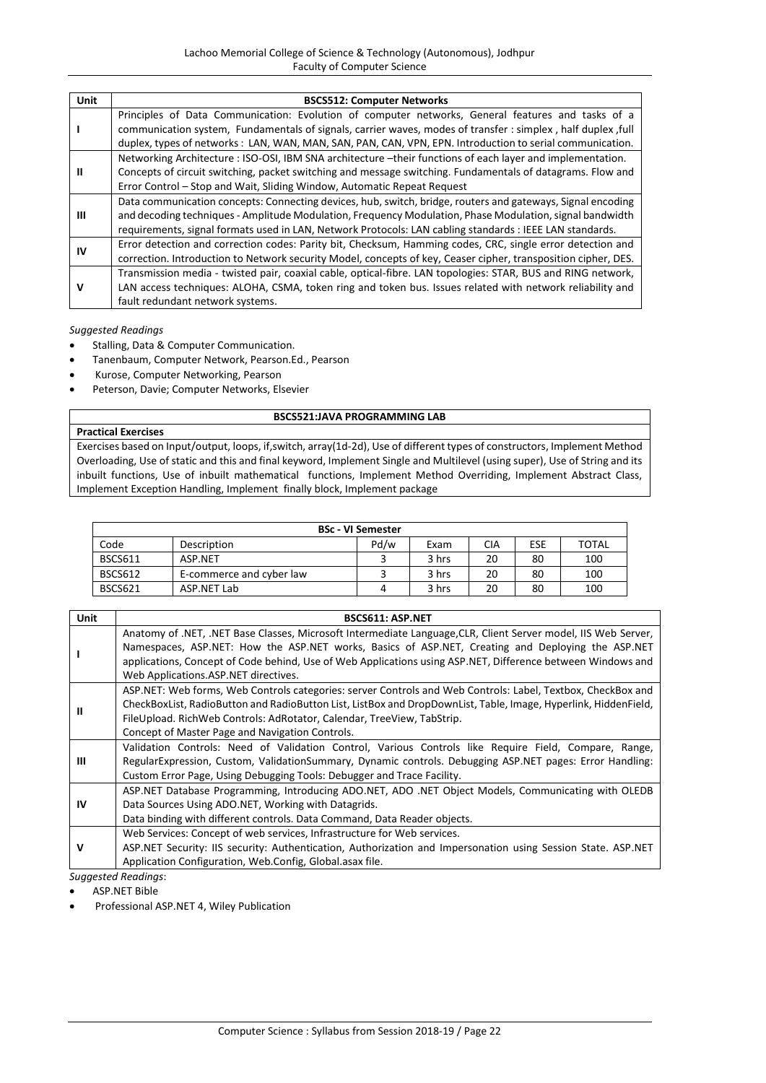| Unit | <b>BSCS512: Computer Networks</b>                                                                                                                                                                                 |
|------|-------------------------------------------------------------------------------------------------------------------------------------------------------------------------------------------------------------------|
|      | Principles of Data Communication: Evolution of computer networks, General features and tasks of a<br>communication system, Fundamentals of signals, carrier waves, modes of transfer : simplex, half duplex, full |
|      | duplex, types of networks: LAN, WAN, MAN, SAN, PAN, CAN, VPN, EPN. Introduction to serial communication.                                                                                                          |
| Ш    | Networking Architecture: ISO-OSI, IBM SNA architecture -their functions of each layer and implementation.                                                                                                         |
|      | Concepts of circuit switching, packet switching and message switching. Fundamentals of datagrams. Flow and                                                                                                        |
|      | Error Control – Stop and Wait, Sliding Window, Automatic Repeat Request                                                                                                                                           |
| ш    | Data communication concepts: Connecting devices, hub, switch, bridge, routers and gateways, Signal encoding                                                                                                       |
|      | and decoding techniques - Amplitude Modulation, Frequency Modulation, Phase Modulation, signal bandwidth                                                                                                          |
|      | requirements, signal formats used in LAN, Network Protocols: LAN cabling standards : IEEE LAN standards.                                                                                                          |
| IV   | Error detection and correction codes: Parity bit, Checksum, Hamming codes, CRC, single error detection and                                                                                                        |
|      | correction. Introduction to Network security Model, concepts of key, Ceaser cipher, transposition cipher, DES.                                                                                                    |
| v    | Transmission media - twisted pair, coaxial cable, optical-fibre. LAN topologies: STAR, BUS and RING network,                                                                                                      |
|      | LAN access techniques: ALOHA, CSMA, token ring and token bus. Issues related with network reliability and                                                                                                         |
|      | fault redundant network systems.                                                                                                                                                                                  |

- Stalling, Data & Computer Communication.
- Tanenbaum, Computer Network, Pearson.Ed., Pearson
- Kurose, Computer Networking, Pearson
- Peterson, Davie; Computer Networks, Elsevier

# **BSCS521:JAVA PROGRAMMING LAB**

# **Practical Exercises**

Exercises based on Input/output, loops, if,switch, array(1d-2d), Use of different types of constructors, Implement Method Overloading, Use of static and this and final keyword, Implement Single and Multilevel (using super), Use of String and its inbuilt functions, Use of inbuilt mathematical functions, Implement Method Overriding, Implement Abstract Class, Implement Exception Handling, Implement finally block, Implement package

| <b>BSc - VI Semester</b> |                          |      |       |     |            |              |
|--------------------------|--------------------------|------|-------|-----|------------|--------------|
| Code                     | Description              | Pd/w | Exam  | CIA | <b>ESE</b> | <b>TOTAL</b> |
| <b>BSCS611</b>           | ASP.NET                  |      | 3 hrs | 20  | 80         | 100          |
| <b>BSCS612</b>           | E-commerce and cyber law |      | 3 hrs | 20  | 80         | 100          |
| BSCS621                  | ASP.NET Lab              |      | 3 hrs | 20  | 80         | 100          |

| Unit | <b>BSCS611: ASP.NET</b>                                                                                                                                                                                                                                                                                                                                                    |
|------|----------------------------------------------------------------------------------------------------------------------------------------------------------------------------------------------------------------------------------------------------------------------------------------------------------------------------------------------------------------------------|
|      | Anatomy of .NET, .NET Base Classes, Microsoft Intermediate Language, CLR, Client Server model, IIS Web Server,<br>Namespaces, ASP.NET: How the ASP.NET works, Basics of ASP.NET, Creating and Deploying the ASP.NET<br>applications, Concept of Code behind, Use of Web Applications using ASP.NET, Difference between Windows and<br>Web Applications.ASP.NET directives. |
| Ш    | ASP.NET: Web forms, Web Controls categories: server Controls and Web Controls: Label, Textbox, CheckBox and<br>CheckBoxList, RadioButton and RadioButton List, ListBox and DropDownList, Table, Image, Hyperlink, HiddenField,<br>FileUpload. RichWeb Controls: AdRotator, Calendar, TreeView, TabStrip.<br>Concept of Master Page and Navigation Controls.                |
| Ш    | Validation Controls: Need of Validation Control, Various Controls like Require Field, Compare, Range,<br>RegularExpression, Custom, ValidationSummary, Dynamic controls. Debugging ASP.NET pages: Error Handling:<br>Custom Error Page, Using Debugging Tools: Debugger and Trace Facility.                                                                                |
| IV   | ASP.NET Database Programming, Introducing ADO.NET, ADO .NET Object Models, Communicating with OLEDB<br>Data Sources Using ADO.NET, Working with Datagrids.<br>Data binding with different controls. Data Command, Data Reader objects.                                                                                                                                     |
| v    | Web Services: Concept of web services, Infrastructure for Web services.<br>ASP.NET Security: IIS security: Authentication, Authorization and Impersonation using Session State. ASP.NET<br>Application Configuration, Web.Config, Global.asax file.                                                                                                                        |

*Suggested Readings*:

ASP.NET Bible

Professional ASP.NET 4, Wiley Publication